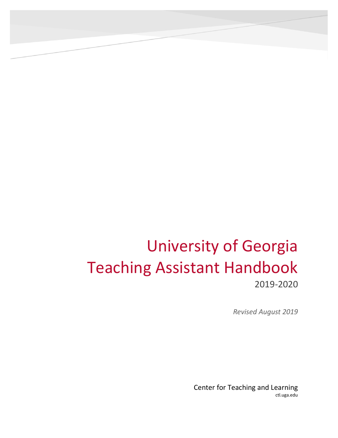# <span id="page-0-0"></span>University of Georgia Teaching Assistant Handbook 2019-2020

*Revised August 2019*

Center for Teaching and Learning ctl.uga.edu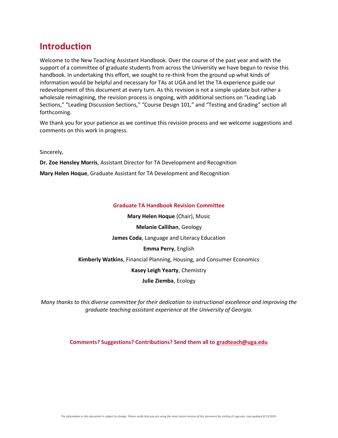## **Introduction**

Welcome to the New Teaching Assistant Handbook. Over the course of the past year and with the support of a committee of graduate students from across the University we have begun to revise this handbook. In undertaking this effort, we sought to re-think from the ground up what kinds of information would be helpful and necessary for TAs at UGA and let the TA experience guide our redevelopment of this document at every turn. As this revision is not a simple update but rather a wholesale reimagining, the revision process is ongoing, with additional sections on "Leading Lab Sections," "Leading Discussion Sections," "Course Design 101," and "Testing and Grading" section all forthcoming.

We thank you for your patience as we continue this revision process and we welcome suggestions and comments on this work in progress.

Sincerely,

**Dr. Zoe Hensley Morris**, Assistant Director for TA Development and Recognition

**Mary Helen Hoque**, Graduate Assistant for TA Development and Recognition

#### **Graduate TA Handbook Revision Committee**

**Mary Helen Hoque** (Chair), Music **Melanie Callihan**, Geology **James Coda**, Language and Literacy Education **Emma Perry**, English **Kimberly Watkins**, Financial Planning, Housing, and Consumer Economics **Kasey Leigh Yearty**, Chemistry **Julie Ziemba**, Ecology

*Many thanks to this diverse committee for their dedication to instructional excellence and improving the graduate teaching assistant experience at the University of Georgia.*

**Comments? Suggestions? Contributions? Send them all to [gradteach@uga.edu](mailto:gradteach@uga.edu)**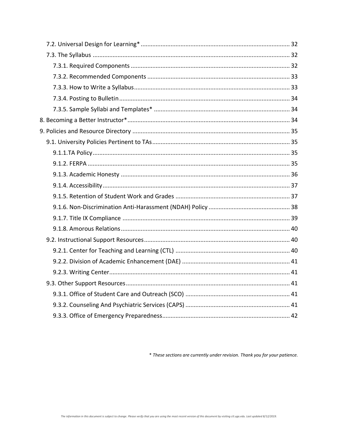\* These sections are currently under revision. Thank you for your patience.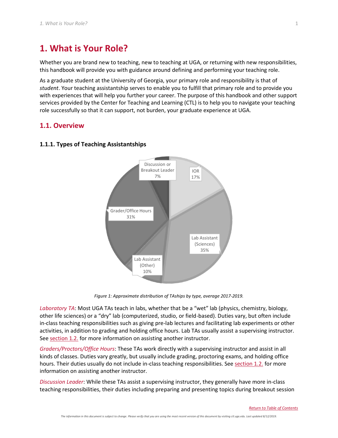## <span id="page-5-0"></span>**1. What is Your Role?**

Whether you are brand new to teaching, new to teaching at UGA, or returning with new responsibilities, this handbook will provide you with guidance around defining and performing your teaching role.

As a graduate student at the University of Georgia, your primary role and responsibility is that of *student*. Your teaching assistantship serves to enable you to fulfill that primary role and to provide you with experiences that will help you further your career. The purpose of this handbook and other support services provided by the Center for Teaching and Learning (CTL) is to help you to navigate your teaching role successfully so that it can support, not burden, your graduate experience at UGA.

## <span id="page-5-1"></span>**1.1. Overview**



#### <span id="page-5-2"></span>**1.1.1. Types of Teaching Assistantships**

*Figure 1: Approximate distribution of TAships by type, average 2017-2019.*

*Laboratory TA*: Most UGA TAs teach in labs, whether that be a "wet" lab (physics, chemistry, biology, other life sciences) or a "dry" lab (computerized, studio, or field-based). Duties vary, but often include in-class teaching responsibilities such as giving pre-lab lectures and facilitating lab experiments or other activities, in addition to grading and holding office hours. Lab TAs usually assist a supervising instructor. See [section 1.2.](#page-6-2) for more information on assisting another instructor.

*Graders/Proctors/Office Hours*: These TAs work directly with a supervising instructor and assist in all kinds of classes. Duties vary greatly, but usually include grading, proctoring exams, and holding office hours. Their duties usually do not include in-class teaching responsibilities. See [section 1.2.](#page-6-2) for more information on assisting another instructor.

*Discussion Leader*: While these TAs assist a supervising instructor, they generally have more in-class teaching responsibilities, their duties including preparing and presenting topics during breakout session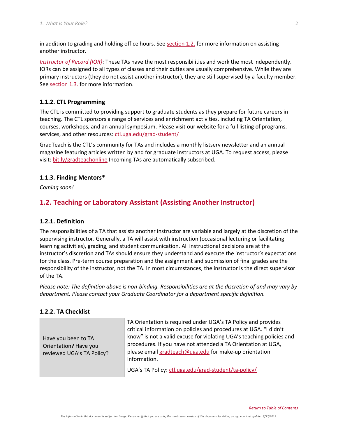in addition to grading and holding office hours. See [section 1.2.](#page-6-2) for more information on assisting another instructor.

*Instructor of Record (IOR)*: These TAs have the most responsibilities and work the most independently. IORs can be assigned to all types of classes and their duties are usually comprehensive. While they are primary instructors (they do not assist another instructor), they are still supervised by a faculty member. See [section 1.3.](#page-10-0) for more information.

#### <span id="page-6-0"></span>**1.1.2. CTL Programming**

The CTL is committed to providing support to graduate students as they prepare for future careers in teaching. The CTL sponsors a range of services and enrichment activities, including TA Orientation, courses, workshops, and an annual symposium. Please visit our website for a full listing of programs, services, and other resources: [ctl.uga.edu/grad-student/](http://www.ctl.uga.edu/grad-student/)

GradTeach is the CTL's community for TAs and includes a monthly listserv newsletter and an annual magazine featuring articles written by and for graduate instructors at UGA. To request access, please visit: [bit.ly/gradteachonline](http://bit.ly/gradteachonline) Incoming TAs are automatically subscribed.

#### <span id="page-6-1"></span>**1.1.3. Finding Mentors\***

*Coming soon!*

## <span id="page-6-2"></span>**1.2. Teaching or Laboratory Assistant (Assisting Another Instructor)**

#### <span id="page-6-3"></span>**1.2.1. Definition**

The responsibilities of a TA that assists another instructor are variable and largely at the discretion of the supervising instructor. Generally, a TA will assist with instruction (occasional lecturing or facilitating learning activities), grading, and student communication. All instructional decisions are at the instructor's discretion and TAs should ensure they understand and execute the instructor's expectations for the class. Pre-term course preparation and the assignment and submission of final grades are the responsibility of the instructor, not the TA. In most circumstances, the instructor is the direct supervisor of the TA.

*Please note: The definition above is non-binding. Responsibilities are at the discretion of and may vary by department. Please contact your Graduate Coordinator for a department specific definition.*

#### <span id="page-6-4"></span>**1.2.2. TA Checklist**

| Have you been to TA<br>Orientation? Have you<br>reviewed UGA's TA Policy? | TA Orientation is required under UGA's TA Policy and provides<br>critical information on policies and procedures at UGA. "I didn't<br>know" is not a valid excuse for violating UGA's teaching policies and<br>procedures. If you have not attended a TA Orientation at UGA,<br>please email gradteach@uga.edu for make-up orientation<br>information. |
|---------------------------------------------------------------------------|--------------------------------------------------------------------------------------------------------------------------------------------------------------------------------------------------------------------------------------------------------------------------------------------------------------------------------------------------------|
|                                                                           | UGA's TA Policy: ctl.uga.edu/grad-student/ta-policy/                                                                                                                                                                                                                                                                                                   |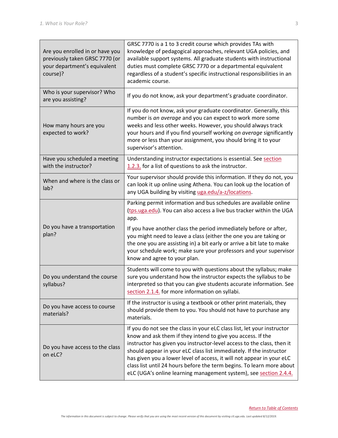| Are you enrolled in or have you<br>previously taken GRSC 7770 (or<br>your department's equivalent<br>course)? | GRSC 7770 is a 1 to 3 credit course which provides TAs with<br>knowledge of pedagogical approaches, relevant UGA policies, and<br>available support systems. All graduate students with instructional<br>duties must complete GRSC 7770 or a departmental equivalent<br>regardless of a student's specific instructional responsibilities in an<br>academic course.                                                                                                                                            |
|---------------------------------------------------------------------------------------------------------------|----------------------------------------------------------------------------------------------------------------------------------------------------------------------------------------------------------------------------------------------------------------------------------------------------------------------------------------------------------------------------------------------------------------------------------------------------------------------------------------------------------------|
| Who is your supervisor? Who<br>are you assisting?                                                             | If you do not know, ask your department's graduate coordinator.                                                                                                                                                                                                                                                                                                                                                                                                                                                |
| How many hours are you<br>expected to work?                                                                   | If you do not know, ask your graduate coordinator. Generally, this<br>number is an average and you can expect to work more some<br>weeks and less other weeks. However, you should always track<br>your hours and if you find yourself working on average significantly<br>more or less than your assignment, you should bring it to your<br>supervisor's attention.                                                                                                                                           |
| Have you scheduled a meeting<br>with the instructor?                                                          | Understanding instructor expectations is essential. See section<br>1.2.3. for a list of questions to ask the instructor.                                                                                                                                                                                                                                                                                                                                                                                       |
| When and where is the class or<br>lab?                                                                        | Your supervisor should provide this information. If they do not, you<br>can look it up online using Athena. You can look up the location of<br>any UGA building by visiting uga.edu/a-z/locations.                                                                                                                                                                                                                                                                                                             |
|                                                                                                               | Parking permit information and bus schedules are available online<br>(tps.uga.edu). You can also access a live bus tracker within the UGA<br>app.                                                                                                                                                                                                                                                                                                                                                              |
| Do you have a transportation<br>plan?                                                                         | If you have another class the period immediately before or after,<br>you might need to leave a class (either the one you are taking or<br>the one you are assisting in) a bit early or arrive a bit late to make<br>your schedule work; make sure your professors and your supervisor<br>know and agree to your plan.                                                                                                                                                                                          |
| Do you understand the course<br>syllabus?                                                                     | Students will come to you with questions about the syllabus; make<br>sure you understand how the instructor expects the syllabus to be<br>interpreted so that you can give students accurate information. See<br>section 2.1.4. for more information on syllabi.                                                                                                                                                                                                                                               |
| Do you have access to course<br>materials?                                                                    | If the instructor is using a textbook or other print materials, they<br>should provide them to you. You should not have to purchase any<br>materials.                                                                                                                                                                                                                                                                                                                                                          |
| Do you have access to the class<br>on eLC?                                                                    | If you do not see the class in your eLC class list, let your instructor<br>know and ask them if they intend to give you access. If the<br>instructor has given you instructor-level access to the class, then it<br>should appear in your eLC class list immediately. If the instructor<br>has given you a lower level of access, it will not appear in your eLC<br>class list until 24 hours before the term begins. To learn more about<br>eLC (UGA's online learning management system), see section 2.4.4. |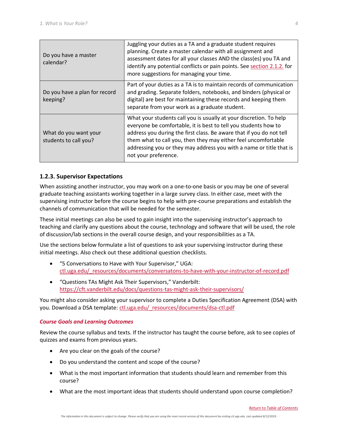| Do you have a master<br>calendar?              | Juggling your duties as a TA and a graduate student requires<br>planning. Create a master calendar with all assignment and<br>assessment dates for all your classes AND the class(es) you TA and<br>identify any potential conflicts or pain points. See section 2.1.2. for<br>more suggestions for managing your time.                                                        |
|------------------------------------------------|--------------------------------------------------------------------------------------------------------------------------------------------------------------------------------------------------------------------------------------------------------------------------------------------------------------------------------------------------------------------------------|
| Do you have a plan for record<br>keeping?      | Part of your duties as a TA is to maintain records of communication<br>and grading. Separate folders, notebooks, and binders (physical or<br>digital) are best for maintaining these records and keeping them<br>separate from your work as a graduate student.                                                                                                                |
| What do you want your<br>students to call you? | What your students call you is usually at your discretion. To help<br>everyone be comfortable, it is best to tell you students how to<br>address you during the first class. Be aware that if you do not tell<br>them what to call you, then they may either feel uncomfortable<br>addressing you or they may address you with a name or title that is<br>not your preference. |

### <span id="page-8-0"></span>**1.2.3. Supervisor Expectations**

When assisting another instructor, you may work on a one-to-one basis or you may be one of several graduate teaching assistants working together in a large survey class. In either case, meet with the supervising instructor before the course begins to help with pre-course preparations and establish the channels of communication that will be needed for the semester.

These initial meetings can also be used to gain insight into the supervising instructor's approach to teaching and clarify any questions about the course, technology and software that will be used, the role of discussion/lab sections in the overall course design, and your responsibilities as a TA.

Use the sections below formulate a list of questions to ask your supervising instructor during these initial meetings. Also check out these additional question checklists.

- "5 Conversations to Have with Your Supervisor," UGA: [ctl.uga.edu/\\_resources/documents/conversatons-to-have-with-your-instructor-of-record.pdf](https://ctl.uga.edu/_resources/documents/conversatons-to-have-with-your-instructor-of-record.pdf)
- "Questions TAs Might Ask Their Supervisors," Vanderbilt: <https://cft.vanderbilt.edu/docs/questions-tas-might-ask-their-supervisors/>

You might also consider asking your supervisor to complete a Duties Specification Agreement (DSA) with you. Download a DSA template: [ctl.uga.edu/\\_resources/documents/dsa-ctl.pdf](https://ctl.uga.edu/_resources/documents/dsa-ctl.pdf)

#### *Course Goals and Learning Outcomes*

Review the course syllabus and texts. If the instructor has taught the course before, ask to see copies of quizzes and exams from previous years.

- Are you clear on the goals of the course?
- Do you understand the content and scope of the course?
- What is the most important information that students should learn and remember from this course?
- What are the most important ideas that students should understand upon course completion?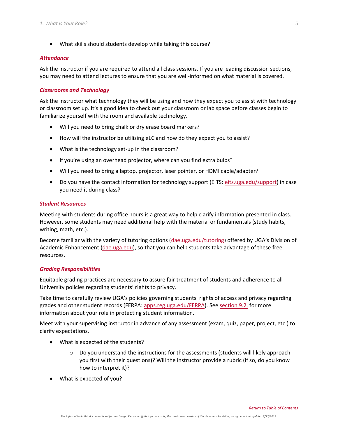• What skills should students develop while taking this course?

#### *Attendance*

Ask the instructor if you are required to attend all class sessions. If you are leading discussion sections, you may need to attend lectures to ensure that you are well-informed on what material is covered.

#### *Classrooms and Technology*

Ask the instructor what technology they will be using and how they expect you to assist with technology or classroom set up. It's a good idea to check out your classroom or lab space before classes begin to familiarize yourself with the room and available technology.

- Will you need to bring chalk or dry erase board markers?
- How will the instructor be utilizing eLC and how do they expect you to assist?
- What is the technology set-up in the classroom?
- If you're using an overhead projector, where can you find extra bulbs?
- Will you need to bring a laptop, projector, laser pointer, or HDMI cable/adapter?
- Do you have the contact information for technology support (EITS: [eits.uga.edu/support\)](https://eits.uga.edu/support/) in case you need it during class?

#### *Student Resources*

Meeting with students during office hours is a great way to help clarify information presented in class. However, some students may need additional help with the material or fundamentals (study habits, writing, math, etc.).

Become familiar with the variety of tutoring options [\(dae.uga.edu/tutoring\)](http://dae.uga.edu/tutoring/) offered by UGA's Division of Academic Enhancement [\(dae.uga.edu\)](http://dae.uga.edu/), so that you can help students take advantage of these free resources.

#### *Grading Responsibilities*

Equitable grading practices are necessary to assure fair treatment of students and adherence to all University policies regarding students' rights to privacy.

Take time to carefully review UGA's policies governing students' rights of access and privacy regarding grades and other student records (FERPA: [apps.reg.uga.edu/FERPA\)](https://apps.reg.uga.edu/FERPA/%5d/). See [section 9.2.](#page-44-1) for more information about your role in protecting student information.

Meet with your supervising instructor in advance of any assessment (exam, quiz, paper, project, etc.) to clarify expectations.

- What is expected of the students?
	- $\circ$  Do you understand the instructions for the assessments (students will likely approach you first with their questions)? Will the instructor provide a rubric (if so, do you know how to interpret it)?
- What is expected of you?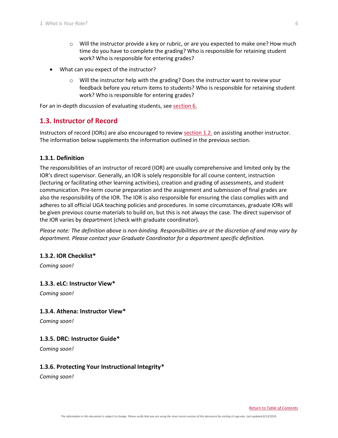- $\circ$  Will the instructor provide a key or rubric, or are you expected to make one? How much time do you have to complete the grading? Who is responsible for retaining student work? Who is responsible for entering grades?
- What can you expect of the instructor?
	- $\circ$  Will the instructor help with the grading? Does the instructor want to review your feedback before you return items to students? Who is responsible for retaining student work? Who is responsible for entering grades?

For an in-depth discussion of evaluating students, see [section 6.](#page-35-3)

## <span id="page-10-0"></span>**1.3. Instructor of Record**

Instructors of record (IORs) are also encouraged to review [section 1.2.](#page-6-2) on assisting another instructor. The information below supplements the information outlined in the previous section.

#### <span id="page-10-1"></span>**1.3.1. Definition**

The responsibilities of an instructor of record (IOR) are usually comprehensive and limited only by the IOR's direct supervisor. Generally, an IOR is solely responsible for all course content, instruction (lecturing or facilitating other learning activities), creation and grading of assessments, and student communication. Pre-term course preparation and the assignment and submission of final grades are also the responsibility of the IOR. The IOR is also responsible for ensuring the class complies with and adheres to all official UGA teaching policies and procedures. In some circumstances, graduate IORs will be given previous course materials to build on, but this is not always the case. The direct supervisor of the IOR varies by department (check with graduate coordinator).

*Please note: The definition above is non-binding. Responsibilities are at the discretion of and may vary by department. Please contact your Graduate Coordinator for a department specific definition.*

#### <span id="page-10-2"></span>**1.3.2. IOR Checklist\***

*Coming soon!*

#### <span id="page-10-3"></span>**1.3.3. eLC: Instructor View\***

*Coming soon!*

#### <span id="page-10-4"></span>**1.3.4. Athena: Instructor View\***

*Coming soon!*

#### <span id="page-10-5"></span>**1.3.5. DRC: Instructor Guide\***

*Coming soon!*

#### <span id="page-10-6"></span>**1.3.6. Protecting Your Instructional Integrity\***

*Coming soon!*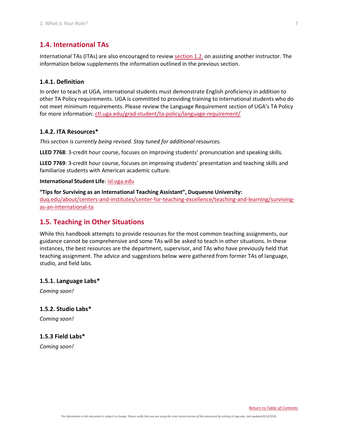## <span id="page-11-0"></span>**1.4. International TAs**

International TAs (ITAs) are also encouraged to revie[w section 1.2.](#page-6-2) on assisting another instructor. The information below supplements the information outlined in the previous section.

#### <span id="page-11-1"></span>**1.4.1. Definition**

In order to teach at UGA, international students must demonstrate English proficiency in addition to other TA Policy requirements. UGA is committed to providing training to international students who do not meet minimum requirements. Please review the Language Requirement section of UGA's TA Policy for more information: [ctl.uga.edu/grad-student/ta-policy/language-requirement/](https://ctl.uga.edu/grad-student/ta-policy/language-requirement/)

#### <span id="page-11-2"></span>**1.4.2. ITA Resources\***

*This section is currently being revised. Stay tuned for additional resources.*

**LLED 7768**: 3-credit hour course, focuses on improving students' pronunciation and speaking skills.

**LLED 7769**: 3-credit hour course, focuses on improving students' presentation and teaching skills and familiarize students with American academic culture.

#### **International Student Life**[: isl.uga.edu](http://www.isl.uga.edu/)

**"Tips for Surviving as an International Teaching Assistant", Duquesne University:** [duq.edu/about/centers-and-institutes/center-for-teaching-excellence/teaching-and-learning/surviving](https://www.duq.edu/about/centers-and-institutes/center-for-teaching-excellence/teaching-and-learning/surviving-as-an-international-ta)[as-an-international-ta](https://www.duq.edu/about/centers-and-institutes/center-for-teaching-excellence/teaching-and-learning/surviving-as-an-international-ta)

## <span id="page-11-3"></span>**1.5. Teaching in Other Situations**

While this handbook attempts to provide resources for the most common teaching assignments, our guidance cannot be comprehensive and some TAs will be asked to teach in other situations. In these instances, the best resources are the department, supervisor, and TAs who have previously held that teaching assignment. The advice and suggestions below were gathered from former TAs of language, studio, and field labs.

#### <span id="page-11-4"></span>**1.5.1. Language Labs\***

*Coming soon!*

#### <span id="page-11-5"></span>**1.5.2. Studio Labs\***

*Coming soon!*

#### <span id="page-11-6"></span>**1.5.3 Field Labs\***

*Coming soon!*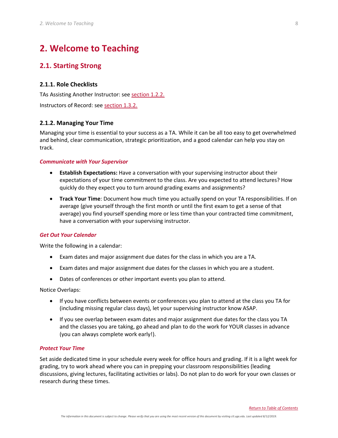## <span id="page-12-0"></span>**2. Welcome to Teaching**

## <span id="page-12-1"></span>**2.1. Starting Strong**

#### <span id="page-12-2"></span>**2.1.1. Role Checklists**

TAs Assisting Another Instructor: see [section 1.2.2.](#page-6-4)

Instructors of Record: see [section 1.3.2.](#page-10-2)

#### <span id="page-12-3"></span>**2.1.2. Managing Your Time**

Managing your time is essential to your success as a TA. While it can be all too easy to get overwhelmed and behind, clear communication, strategic prioritization, and a good calendar can help you stay on track.

#### *Communicate with Your Supervisor*

- **Establish Expectations:** Have a conversation with your supervising instructor about their expectations of your time commitment to the class. Are you expected to attend lectures? How quickly do they expect you to turn around grading exams and assignments?
- **Track Your Time**: Document how much time you actually spend on your TA responsibilities. If on average (give yourself through the first month or until the first exam to get a sense of that average) you find yourself spending more or less time than your contracted time commitment, have a conversation with your supervising instructor.

#### *Get Out Your Calendar*

Write the following in a calendar:

- Exam dates and major assignment due dates for the class in which you are a TA.
- Exam dates and major assignment due dates for the classes in which you are a student.
- Dates of conferences or other important events you plan to attend.

Notice Overlaps:

- If you have conflicts between events or conferences you plan to attend at the class you TA for (including missing regular class days), let your supervising instructor know ASAP.
- If you see overlap between exam dates and major assignment due dates for the class you TA and the classes you are taking, go ahead and plan to do the work for YOUR classes in advance (you can always complete work early!).

#### *Protect Your Time*

Set aside dedicated time in your schedule every week for office hours and grading. If it is a light week for grading, try to work ahead where you can in prepping your classroom responsibilities (leading discussions, giving lectures, facilitating activities or labs). Do not plan to do work for your own classes or research during these times.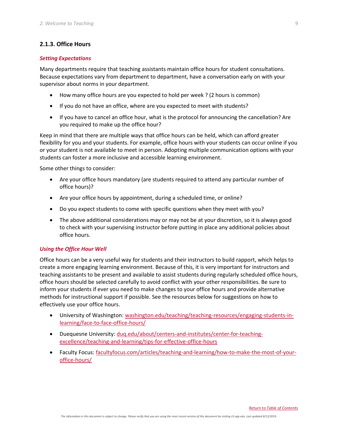## <span id="page-13-0"></span>**2.1.3. Office Hours**

#### *Setting Expectations*

Many departments require that teaching assistants maintain office hours for student consultations. Because expectations vary from department to department, have a conversation early on with your supervisor about norms in your department.

- How many office hours are you expected to hold per week ? (2 hours is common)
- If you do not have an office, where are you expected to meet with students?
- If you have to cancel an office hour, what is the protocol for announcing the cancellation? Are you required to make up the office hour?

Keep in mind that there are multiple ways that office hours can be held, which can afford greater flexibility for you and your students. For example, office hours with your students can occur online if you or your student is not available to meet in person. Adopting multiple communication options with your students can foster a more inclusive and accessible learning environment.

Some other things to consider:

- Are your office hours mandatory (are students required to attend any particular number of office hours)?
- Are your office hours by appointment, during a scheduled time, or online?
- Do you expect students to come with specific questions when they meet with you?
- The above additional considerations may or may not be at your discretion, so it is always good to check with your supervising instructor before putting in place any additional policies about office hours.

#### <span id="page-13-1"></span>*Using the Office Hour Well*

Office hours can be a very useful way for students and their instructors to build rapport, which helps to create a more engaging learning environment. Because of this, it is very important for instructors and teaching assistants to be present and available to assist students during regularly scheduled office hours, office hours should be selected carefully to avoid conflict with your other responsibilities. Be sure to inform your students if ever you need to make changes to your office hours and provide alternative methods for instructional support if possible. See the resources below for suggestions on how to effectively use your office hours.

- University of Washington: [washington.edu/teaching/teaching-resources/engaging-students-in](http://www.washington.edu/teaching/teaching-resources/engaging-students-in-learning/face-to-face-office-hours/)[learning/face-to-face-office-hours/](http://www.washington.edu/teaching/teaching-resources/engaging-students-in-learning/face-to-face-office-hours/)
- Duequesne University: [duq.edu/about/centers-and-institutes/center-for-teaching](https://www.duq.edu/about/centers-and-institutes/center-for-teaching-excellence/teaching-and-learning/tips-for-effective-office-hours)[excellence/teaching-and-learning/tips-for-effective-office-hours](https://www.duq.edu/about/centers-and-institutes/center-for-teaching-excellence/teaching-and-learning/tips-for-effective-office-hours)
- Faculty Focus: [facultyfocus.com/articles/teaching-and-learning/how-to-make-the-most-of-your](https://www.facultyfocus.com/articles/teaching-and-learning/how-to-make-the-most-of-your-office-hours/)[office-hours/](https://www.facultyfocus.com/articles/teaching-and-learning/how-to-make-the-most-of-your-office-hours/)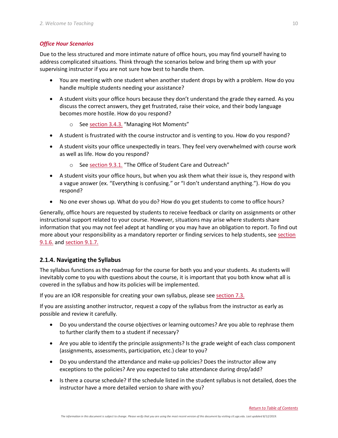### *Office Hour Scenarios*

Due to the less structured and more intimate nature of office hours, you may find yourself having to address complicated situations. Think through the scenarios below and bring them up with your supervising instructor if you are not sure how best to handle them.

- You are meeting with one student when another student drops by with a problem. How do you handle multiple students needing your assistance?
- A student visits your office hours because they don't understand the grade they earned. As you discuss the correct answers, they get frustrated, raise their voice, and their body language becomes more hostile. How do you respond?
	- o See [section 3.4.3.](#page-33-3) "Managing Hot Moments"
- A student is frustrated with the course instructor and is venting to you. How do you respond?
- A student visits your office unexpectedly in tears. They feel very overwhelmed with course work as well as life. How do you respond?
	- o Se[e section 9.3.1.](#page-45-3) "The Office of Student Care and Outreach"
- A student visits your office hours, but when you ask them what their issue is, they respond with a vague answer (ex. "Everything is confusing." or "I don't understand anything."). How do you respond?
- No one ever shows up. What do you do? How do you get students to come to office hours?

Generally, office hours are requested by students to receive feedback or clarity on assignments or other instructional support related to your course. However, situations may arise where students share information that you may not feel adept at handling or you may have an obligation to report. To find out more about your responsibility as a mandatory reporter or finding services to help students, see [section](#page-42-0)  [9.1.6.](#page-42-0) and [section 9.1.7.](#page-43-0)

## <span id="page-14-0"></span>**2.1.4. Navigating the Syllabus**

The syllabus functions as the roadmap for the course for both you and your students. As students will inevitably come to you with questions about the course, it is important that you both know what all is covered in the syllabus and how its policies will be implemented.

If you are an IOR responsible for creating your own syllabus, please se[e section 7.3.](#page-36-3)

If you are assisting another instructor, request a copy of the syllabus from the instructor as early as possible and review it carefully.

- Do you understand the course objectives or learning outcomes? Are you able to rephrase them to further clarify them to a student if necessary?
- Are you able to identify the principle assignments? Is the grade weight of each class component (assignments, assessments, participation, etc.) clear to you?
- Do you understand the attendance and make-up policies? Does the instructor allow any exceptions to the policies? Are you expected to take attendance during drop/add?
- Is there a course schedule? If the schedule listed in the student syllabus is not detailed, does the instructor have a more detailed version to share with you?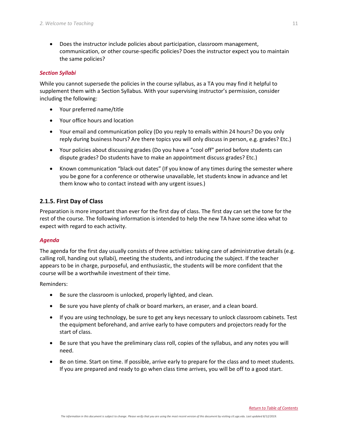• Does the instructor include policies about participation, classroom management, communication, or other course-specific policies? Does the instructor expect you to maintain the same policies?

#### *Section Syllabi*

While you cannot supersede the policies in the course syllabus, as a TA you may find it helpful to supplement them with a Section Syllabus. With your supervising instructor's permission, consider including the following:

- Your preferred name/title
- Your office hours and location
- Your email and communication policy (Do you reply to emails within 24 hours? Do you only reply during business hours? Are there topics you will only discuss in person, e.g. grades? Etc.)
- Your policies about discussing grades (Do you have a "cool off" period before students can dispute grades? Do students have to make an appointment discuss grades? Etc.)
- Known communication "black-out dates" (If you know of any times during the semester where you be gone for a conference or otherwise unavailable, let students know in advance and let them know who to contact instead with any urgent issues.)

### <span id="page-15-0"></span>**2.1.5. First Day of Class**

Preparation is more important than ever for the first day of class. The first day can set the tone for the rest of the course. The following information is intended to help the new TA have some idea what to expect with regard to each activity.

#### *Agenda*

The agenda for the first day usually consists of three activities: taking care of administrative details (e.g. calling roll, handing out syllabi), meeting the students, and introducing the subject. If the teacher appears to be in charge, purposeful, and enthusiastic, the students will be more confident that the course will be a worthwhile investment of their time.

Reminders:

- Be sure the classroom is unlocked, properly lighted, and clean.
- Be sure you have plenty of chalk or board markers, an eraser, and a clean board.
- If you are using technology, be sure to get any keys necessary to unlock classroom cabinets. Test the equipment beforehand, and arrive early to have computers and projectors ready for the start of class.
- Be sure that you have the preliminary class roll, copies of the syllabus, and any notes you will need.
- Be on time. Start on time. If possible, arrive early to prepare for the class and to meet students. If you are prepared and ready to go when class time arrives, you will be off to a good start.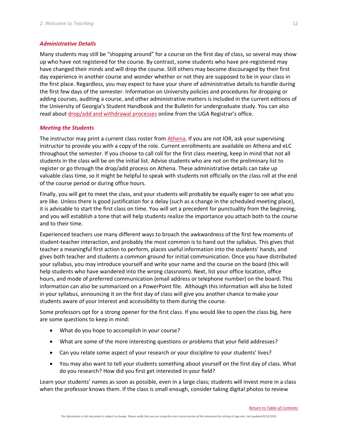#### *Administrative Details*

Many students may still be "shopping around" for a course on the first day of class, so several may show up who have not registered for the course. By contrast, some students who have pre-registered may have changed their minds and will drop the course. Still others may become discouraged by their first day experience in another course and wonder whether or not they are supposed to be in your class in the first place. Regardless, you may expect to have your share of administrative details to handle during the first few days of the semester. Information on University policies and procedures for dropping or adding courses, auditing a course, and other administrative matters is included in the current editions of the University of Georgia's Student Handbook and the Bulletin for undergraduate study. You can also read about [drop/add and withdrawal processes](http://www.reg.uga.edu/registration) online from the UGA Registrar's office.

#### *Meeting the Students*

The instructor may print a current class roster from [Athena.](http://athena.uga.edu/) If you are not IOR, ask your supervising instructor to provide you with a copy of the role. Current enrollments are available on Athena and eLC throughout the semester. If you choose to call roll for the first class meeting, keep in mind that not all students in the class will be on the initial list. Advise students who are not on the preliminary list to register or go through the drop/add process on Athena. These administrative details can take up valuable class time, so it might be helpful to speak with students not officially on the class roll at the end of the course period or during office hours.

Finally, you will get to meet the class, and your students will probably be equally eager to see what you are like. Unless there is good justification for a delay (such as a change in the scheduled meeting place), it is advisable to start the first class on time. You will set a precedent for punctuality from the beginning, and you will establish a tone that will help students realize the importance you attach both to the course and to their time.

Experienced teachers use many different ways to broach the awkwardness of the first few moments of student-teacher interaction, and probably the most common is to hand out the syllabus. This gives that teacher a meaningful first action to perform, places useful information into the students' hands, and gives both teacher and students a common ground for initial communication. Once you have distributed your syllabus, you may introduce yourself and write your name and the course on the board (this will help students who have wandered into the wrong classroom). Next, list your office location, office hours, and mode of preferred communication (email address or telephone number) on the board. This information can also be summarized on a PowerPoint file. Although this information will also be listed in your syllabus, announcing it on the first day of class will give you another chance to make your students aware of your interest and accessibility to them during the course.

Some professors opt for a strong opener for the first class. If you would like to open the class big, here are some questions to keep in mind:

- What do you hope to accomplish in your course?
- What are some of the more interesting questions or problems that your field addresses?
- Can you relate some aspect of your research or your discipline to your students' lives?
- You may also want to tell your students something about yourself on the first day of class. What do you research? How did you first get interested in your field?

Learn your students' names as soon as possible, even in a large class; students will invest more in a class when the professor knows them. If the class is small enough, consider taking digital photos to review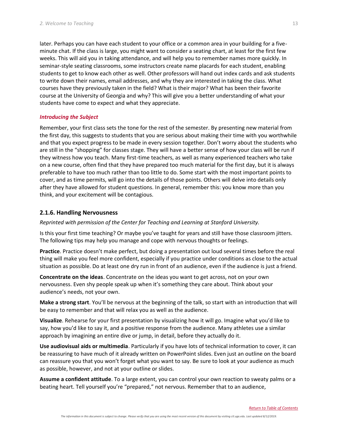later. Perhaps you can have each student to your office or a common area in your building for a fiveminute chat. If the class is large, you might want to consider a seating chart, at least for the first few weeks. This will aid you in taking attendance, and will help you to remember names more quickly. In seminar-style seating classrooms, some instructors create name placards for each student, enabling students to get to know each other as well. Other professors will hand out index cards and ask students to write down their names, email addresses, and why they are interested in taking the class. What courses have they previously taken in the field? What is their major? What has been their favorite course at the University of Georgia and why? This will give you a better understanding of what your students have come to expect and what they appreciate.

#### *Introducing the Subject*

Remember, your first class sets the tone for the rest of the semester. By presenting new material from the first day, this suggests to students that you are serious about making their time with you worthwhile and that you expect progress to be made in every session together. Don't worry about the students who are still in the "shopping" for classes stage. They will have a better sense of how your class will be run if they witness how you teach. Many first-time teachers, as well as many experienced teachers who take on a new course, often find that they have prepared too much material for the first day, but it is always preferable to have too much rather than too little to do. Some start with the most important points to cover, and as time permits, will go into the details of those points. Others will delve into details only after they have allowed for student questions. In general, remember this: you know more than you think, and your excitement will be contagious.

#### <span id="page-17-0"></span>**2.1.6. Handling Nervousness**

*Reprinted with permission of the Center for Teaching and Learning at Stanford University.*

Is this your first time teaching? Or maybe you've taught for years and still have those classroom jitters. The following tips may help you manage and cope with nervous thoughts or feelings.

**Practice**. Practice doesn't make perfect, but doing a presentation out loud several times before the real thing will make you feel more confident, especially if you practice under conditions as close to the actual situation as possible. Do at least one dry run in front of an audience, even if the audience is just a friend.

**Concentrate on the ideas**. Concentrate on the ideas you want to get across, not on your own nervousness. Even shy people speak up when it's something they care about. Think about your audience's needs, not your own.

**Make a strong start**. You'll be nervous at the beginning of the talk, so start with an introduction that will be easy to remember and that will relax you as well as the audience.

**Visualize**. Rehearse for your first presentation by visualizing how it will go. Imagine what you'd like to say, how you'd like to say it, and a positive response from the audience. Many athletes use a similar approach by imagining an entire dive or jump, in detail, before they actually do it.

**Use audiovisual aids or multimedia**. Particularly if you have lots of technical information to cover, it can be reassuring to have much of it already written on PowerPoint slides. Even just an outline on the board can reassure you that you won't forget what you want to say. Be sure to look at your audience as much as possible, however, and not at your outline or slides.

**Assume a confident attitude**. To a large extent, you can control your own reaction to sweaty palms or a beating heart. Tell yourself you're "prepared," not nervous. Remember that to an audience,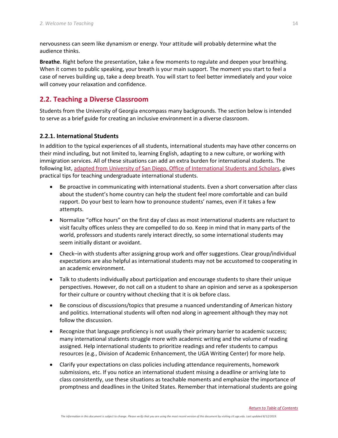nervousness can seem like dynamism or energy. Your attitude will probably determine what the audience thinks.

**Breathe**. Right before the presentation, take a few moments to regulate and deepen your breathing. When it comes to public speaking, your breath is your main support. The moment you start to feel a case of nerves building up, take a deep breath. You will start to feel better immediately and your voice will convey your relaxation and confidence.

## <span id="page-18-0"></span>**2.2. Teaching a Diverse Classroom**

Students from the University of Georgia encompass many backgrounds. The section below is intended to serve as a brief guide for creating an inclusive environment in a diverse classroom.

## <span id="page-18-1"></span>**2.2.1. International Students**

In addition to the typical experiences of all students, international students may have other concerns on their mind including, but not limited to, learning English, adapting to a new culture, or working with immigration services. All of these situations can add an extra burden for international students. The following list, [adapted from University of San Diego, Office of International Students and Scholars,](https://www.sandiego.edu/international/oiss/resources/faculty-tips.php) gives practical tips for teaching undergraduate international students.

- Be proactive in communicating with international students. Even a short conversation after class about the student's home country can help the student feel more comfortable and can build rapport. Do your best to learn how to pronounce students' names, even if it takes a few attempts.
- Normalize "office hours" on the first day of class as most international students are reluctant to visit faculty offices unless they are compelled to do so. Keep in mind that in many parts of the world, professors and students rarely interact directly, so some international students may seem initially distant or avoidant.
- Check–in with students after assigning group work and offer suggestions. Clear group/individual expectations are also helpful as international students may not be accustomed to cooperating in an academic environment.
- Talk to students individually about participation and encourage students to share their unique perspectives. However, do not call on a student to share an opinion and serve as a spokesperson for their culture or country without checking that it is ok before class.
- Be conscious of discussions/topics that presume a nuanced understanding of American history and politics. International students will often nod along in agreement although they may not follow the discussion.
- Recognize that language proficiency is not usually their primary barrier to academic success; many international students struggle more with academic writing and the volume of reading assigned. Help international students to prioritize readings and refer students to campus resources (e.g., Division of Academic Enhancement, the UGA Writing Center) for more help.
- Clarify your expectations on class policies including attendance requirements, homework submissions, etc. If you notice an international student missing a deadline or arriving late to class consistently, use these situations as teachable moments and emphasize the importance of promptness and deadlines in the United States. Remember that international students are going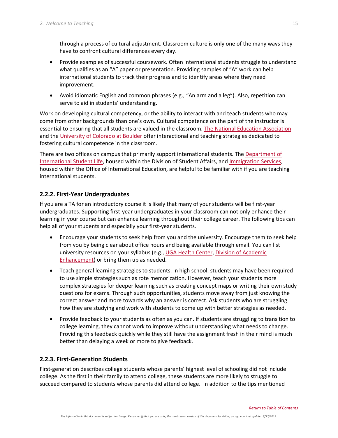through a process of cultural adjustment. Classroom culture is only one of the many ways they have to confront cultural differences every day.

- Provide examples of successful coursework. Often international students struggle to understand what qualifies as an "A" paper or presentation. Providing samples of "A" work can help international students to track their progress and to identify areas where they need improvement.
- Avoid idiomatic English and common phrases (e.g., "An arm and a leg"). Also, repetition can serve to aid in students' understanding.

Work on developing cultural competency, or the ability to interact with and teach students who may come from other backgrounds than one's own. Cultural competence on the part of the instructor is essential to ensuring that all students are valued in the classroom. [The National Education Association](http://www.nea.org/tools/30402.htm) and th[e University of Colorado at Boulder](https://cue.colorado.edu/sites/default/files/Cult%20Competence-the%20Next%20Step.pdf) offer interactional and teaching strategies dedicated to fostering cultural competence in the classroom.

There are two offices on campus that primarily support international students. The [Department of](http://isl.uga.edu/)  [International Student Life,](http://isl.uga.edu/) housed within the Division of Student Affairs, an[d Immigration Services,](http://international.uga.edu/issis/) housed within the Office of International Education, are helpful to be familiar with if you are teaching international students.

## <span id="page-19-0"></span>**2.2.2. First-Year Undergraduates**

If you are a TA for an introductory course it is likely that many of your students will be first-year undergraduates. Supporting first-year undergraduates in your classroom can not only enhance their learning in your course but can enhance learning throughout their college career. The following tips can help all of your students and especially your first-year students.

- Encourage your students to seek help from you and the university. Encourage them to seek help from you by being clear about office hours and being available through email. You can list university resources on your syllabus (e.g., [UGA Health Center,](http://uhs.uga.edu/) [Division of Academic](http://dae.uga.edu/)  [Enhancement\)](http://dae.uga.edu/) or bring them up as needed.
- Teach general learning strategies to students. In high school, students may have been required to use simple strategies such as rote memorization. However, teach your students more complex strategies for deeper learning such as creating concept maps or writing their own study questions for exams. Through such opportunities, students move away from just knowing the correct answer and more towards why an answer is correct. Ask students who are struggling how they are studying and work with students to come up with better strategies as needed.
- Provide feedback to your students as often as you can. If students are struggling to transition to college learning, they cannot work to improve without understanding what needs to change. Providing this feedback quickly while they still have the assignment fresh in their mind is much better than delaying a week or more to give feedback.

## <span id="page-19-1"></span>**2.2.3. First-Generation Students**

First-generation describes college students whose parents' highest level of schooling did not include college. As the first in their family to attend college, these students are more likely to struggle to succeed compared to students whose parents did attend college. In addition to the tips mentioned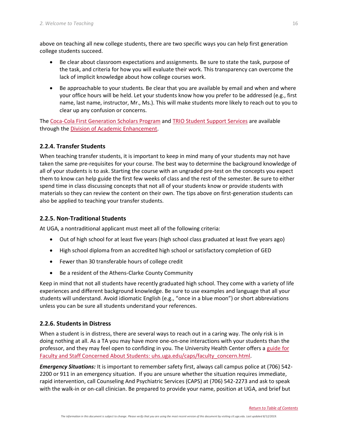above on teaching all new college students, there are two specific ways you can help first generation college students succeed.

- Be clear about classroom expectations and assignments. Be sure to state the task, purpose of the task, and criteria for how you will evaluate their work. This transparency can overcome the lack of implicit knowledge about how college courses work.
- Be approachable to your students. Be clear that you are available by email and when and where your office hours will be held. Let your students know how you prefer to be addressed (e.g., first name, last name, instructor, Mr., Ms.). This will make students more likely to reach out to you to clear up any confusion or concerns.

The [Coca-Cola First Generation Scholars Program](http://dae.uga.edu/initiatives-2/ccfg/) and [TRIO Student Support Services](http://dae.uga.edu/resources/trio-student-support-services/) are available through the [Division of Academic Enhancement.](http://dae.uga.edu/)

## <span id="page-20-0"></span>**2.2.4. Transfer Students**

When teaching transfer students, it is important to keep in mind many of your students may not have taken the same pre-requisites for your course. The best way to determine the background knowledge of all of your students is to ask. Starting the course with an ungraded pre-test on the concepts you expect them to know can help guide the first few weeks of class and the rest of the semester. Be sure to either spend time in class discussing concepts that not all of your students know or provide students with materials so they can review the content on their own. The tips above on first-generation students can also be applied to teaching your transfer students.

## <span id="page-20-1"></span>**2.2.5. Non-Traditional Students**

At UGA, a nontraditional applicant must meet all of the following criteria:

- Out of high school for at least five years (high school class graduated at least five years ago)
- High school diploma from an accredited high school or satisfactory completion of GED
- Fewer than 30 transferable hours of college credit
- Be a resident of the Athens-Clarke County Community

Keep in mind that not all students have recently graduated high school. They come with a variety of life experiences and different background knowledge. Be sure to use examples and language that all your students will understand. Avoid idiomatic English (e.g., "once in a blue moon") or short abbreviations unless you can be sure all students understand your references.

## <span id="page-20-2"></span>**2.2.6. Students in Distress**

When a student is in distress, there are several ways to reach out in a caring way. The only risk is in doing nothing at all. As a TA you may have more one-on-one interactions with your students than the professor, and they may feel open to confiding in you. The University Health Center offers a [guide for](https://www.uhs.uga.edu/caps/faculty_concern.html)  [Faculty and Staff Concerned About Students:](https://www.uhs.uga.edu/caps/faculty_concern.html) uhs.uga.edu/caps/faculty\_concern.html.

*Emergency Situations:* It is important to remember safety first, always call campus police at (706) 542- 2200 or 911 in an emergency situation. If you are unsure whether the situation requires immediate, rapid intervention, call Counseling And Psychiatric Services (CAPS) at (706) 542-2273 and ask to speak with the walk-in or on-call clinician. Be prepared to provide your name, position at UGA, and brief but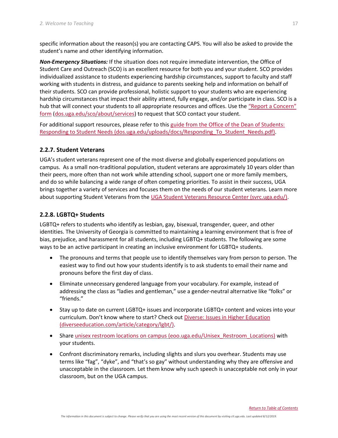specific information about the reason(s) you are contacting CAPS. You will also be asked to provide the student's name and other identifying information.

*Non-Emergency Situations:* If the situation does not require immediate intervention, the Office of Student Care and Outreach (SCO) is an excellent resource for both you and your student. SCO provides individualized assistance to students experiencing hardship circumstances, support to faculty and staff working with students in distress, and guidance to parents seeking help and information on behalf of their students. SCO can provide professional, holistic support to your students who are experiencing hardship circumstances that impact their ability attend, fully engage, and/or participate in class. SCO is a hub that will connect your students to all appropriate resources and offices. Use the "Report a Concern" [form](http://dos.uga.edu/sco/about/services) [\(dos.uga.edu/sco/about/services\)](http://dos.uga.edu/sco/about/services) to request that SCO contact your student.

For additional support resources, please refer to this [guide from the Office of the Dean of Students:](http://dos.uga.edu/uploads/docs/Responding_To_Student_Needs.pdf)  [Responding to Student Needs](http://dos.uga.edu/uploads/docs/Responding_To_Student_Needs.pdf) (dos.uga.edu/uploads/docs/Responding\_To\_Student\_Needs.pdf).

#### <span id="page-21-0"></span>**2.2.7. Student Veterans**

UGA's student veterans represent one of the most diverse and globally experienced populations on campus. As a small non-traditional population, student veterans are approximately 10 years older than their peers, more often than not work while attending school, support one or more family members, and do so while balancing a wide range of often competing priorities. To assist in their success, UGA brings together a variety of services and focuses them on the needs of our student veterans. Learn more about supporting Student Veterans from the [UGA Student Veterans Resource Center](http://www.svrc.uga.edu/) [\(svrc.uga.edu/\)](http://www.svrc.uga.edu/).

### <span id="page-21-1"></span>**2.2.8. LGBTQ+ Students**

LGBTQ+ refers to students who identify as lesbian, gay, bisexual, transgender, queer, and other identities. The University of Georgia is committed to maintaining a learning environment that is free of bias, prejudice, and harassment for all students, including LGBTQ+ students. The following are some ways to be an active participant in creating an inclusive environment for LGBTQ+ students.

- The pronouns and terms that people use to identify themselves vary from person to person. The easiest way to find out how your students identify is to ask students to email their name and pronouns before the first day of class.
- Eliminate unnecessary gendered language from your vocabulary. For example, instead of addressing the class as "ladies and gentleman," use a gender-neutral alternative like "folks" or "friends."
- Stay up to date on current LGBTQ+ issues and incorporate LGBTQ+ content and voices into your curriculum. Don't know where to start? Check out [Diverse: Issues in Higher Education](http://diverseeducation.com/article/category/lgbt/) (diverseeducation.com/article/category/lgbt/).
- Share [unisex restroom locations on campus](https://eoo.uga.edu/Unisex_Restroom_Locations) (eoo.uga.edu/Unisex\_Restroom\_Locations) with your students.
- Confront discriminatory remarks, including slights and slurs you overhear. Students may use terms like "fag", "dyke", and "that's so gay" without understanding why they are offensive and unacceptable in the classroom. Let them know why such speech is unacceptable not only in your classroom, but on the UGA campus.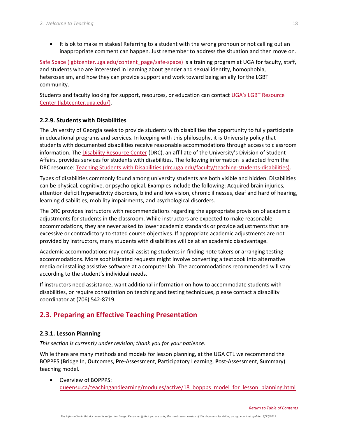• It is ok to make mistakes! Referring to a student with the wrong pronoun or not calling out an inappropriate comment can happen. Just remember to address the situation and then move on.

[Safe Space](https://lgbtcenter.uga.edu/content_page/safe-space) (Igbtcenter.uga.edu/content\_page/safe-space) is a training program at UGA for faculty, staff, and students who are interested in learning about gender and sexual identity, homophobia, heterosexism, and how they can provide support and work toward being an ally for the LGBT community.

Students and faculty looking for support, resources, or education can contact UGA's [LGBT Resource](https://lgbtcenter.uga.edu/)  [Center](https://lgbtcenter.uga.edu/) (lgbtcenter.uga.edu/).

### <span id="page-22-0"></span>**2.2.9. Students with Disabilities**

The University of Georgia seeks to provide students with disabilities the opportunity to fully participate in educational programs and services. In keeping with this philosophy, it is University policy that students with documented disabilities receive reasonable accommodations through access to classroom information. The [Disability Resource Center](http://drc.uga.edu/) (DRC), an affiliate of the University's Division of Student Affairs, provides services for students with disabilities. The following information is adapted from the DRC resource: [Teaching Students with Disabilities](https://drc.uga.edu/faculty/teaching-students-disabilities) (drc.uga.edu/faculty/teaching-students-disabilities).

Types of disabilities commonly found among university students are both visible and hidden. Disabilities can be physical, cognitive, or psychological. Examples include the following: Acquired brain injuries, attention deficit hyperactivity disorders, blind and low vision, chronic illnesses, deaf and hard of hearing, learning disabilities, mobility impairments, and psychological disorders.

The DRC provides instructors with recommendations regarding the appropriate provision of academic adjustments for students in the classroom. While instructors are expected to make reasonable accommodations, they are never asked to lower academic standards or provide adjustments that are excessive or contradictory to stated course objectives. If appropriate academic adjustments are not provided by instructors, many students with disabilities will be at an academic disadvantage.

Academic accommodations may entail assisting students in finding note takers or arranging testing accommodations. More sophisticated requests might involve converting a textbook into alternative media or installing assistive software at a computer lab. The accommodations recommended will vary according to the student's individual needs.

If instructors need assistance, want additional information on how to accommodate students with disabilities, or require consultation on teaching and testing techniques, please contact a disability coordinator at (706) 542-8719.

## <span id="page-22-1"></span>**2.3. Preparing an Effective Teaching Presentation**

#### <span id="page-22-2"></span>**2.3.1. Lesson Planning**

*This section is currently under revision; thank you for your patience.*

While there are many methods and models for lesson planning, at the UGA CTL we recommend the BOPPPS (**B**ridge In, **O**utcomes, **P**re-Assessment, **P**articipatory Learning, **P**ost-Assessment, **S**ummary) teaching model.

• Overview of BOPPPS: [queensu.ca/teachingandlearning/modules/active/18\\_boppps\\_model\\_for\\_lesson\\_planning.html](http://www.queensu.ca/teachingandlearning/modules/active/18_boppps_model_for_lesson_planning.html)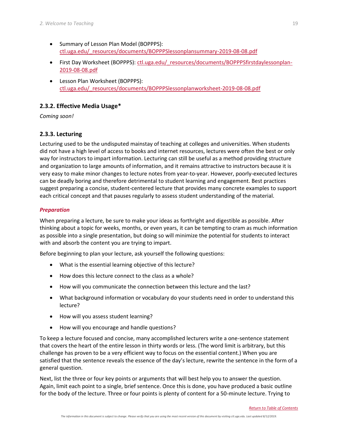- Summary of Lesson Plan Model (BOPPPS): [ctl.uga.edu/\\_resources/documents/BOPPPSlessonplansummary-2019-08-08.pdf](https://ctl.uga.edu/_resources/documents/BOPPPSlessonplansummary-2019-08-08.pdf)
- First Day Worksheet (BOPPPS): ctl.uga.edu/ resources/documents/BOPPPSfirstdaylessonplan-[2019-08-08.pdf](https://ctl.uga.edu/_resources/documents/BOPPPSfirstdaylessonplan-2019-08-08.pdf)
- Lesson Plan Worksheet (BOPPPS): [ctl.uga.edu/\\_resources/documents/BOPPPSlessonplanworksheet-2019-08-08.pdf](https://ctl.uga.edu/_resources/documents/BOPPPSlessonplanworksheet-2019-08-08.pdf)

## <span id="page-23-0"></span>**2.3.2. Effective Media Usage\***

*Coming soon!*

## <span id="page-23-1"></span>**2.3.3. Lecturing**

Lecturing used to be the undisputed mainstay of teaching at colleges and universities. When students did not have a high level of access to books and internet resources, lectures were often the best or only way for instructors to impart information. Lecturing can still be useful as a method providing structure and organization to large amounts of information, and it remains attractive to instructors because it is very easy to make minor changes to lecture notes from year-to-year. However, poorly-executed lectures can be deadly boring and therefore detrimental to student learning and engagement. Best practices suggest preparing a concise, student-centered lecture that provides many concrete examples to support each critical concept and that pauses regularly to assess student understanding of the material.

## *Preparation*

When preparing a lecture, be sure to make your ideas as forthright and digestible as possible. After thinking about a topic for weeks, months, or even years, it can be tempting to cram as much information as possible into a single presentation, but doing so will minimize the potential for students to interact with and absorb the content you are trying to impart.

Before beginning to plan your lecture, ask yourself the following questions:

- What is the essential learning objective of this lecture?
- How does this lecture connect to the class as a whole?
- How will you communicate the connection between this lecture and the last?
- What background information or vocabulary do your students need in order to understand this lecture?
- How will you assess student learning?
- How will you encourage and handle questions?

To keep a lecture focused and concise, many accomplished lecturers write a one-sentence statement that covers the heart of the entire lesson in thirty words or less. (The word limit is arbitrary, but this challenge has proven to be a very efficient way to focus on the essential content.) When you are satisfied that the sentence reveals the essence of the day's lecture, rewrite the sentence in the form of a general question.

Next, list the three or four key points or arguments that will best help you to answer the question. Again, limit each point to a single, brief sentence. Once this is done, you have produced a basic outline for the body of the lecture. Three or four points is plenty of content for a 50-minute lecture. Trying to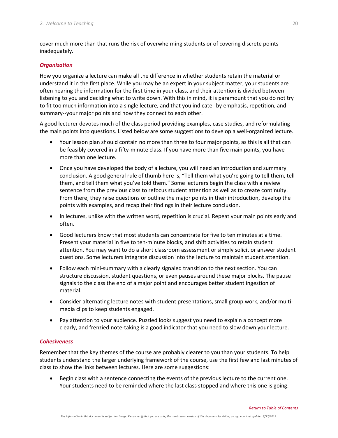cover much more than that runs the risk of overwhelming students or of covering discrete points inadequately.

#### *Organization*

How you organize a lecture can make all the difference in whether students retain the material or understand it in the first place. While you may be an expert in your subject matter, your students are often hearing the information for the first time in your class, and their attention is divided between listening to you and deciding what to write down. With this in mind, it is paramount that you do not try to fit too much information into a single lecture, and that you indicate--by emphasis, repetition, and summary--your major points and how they connect to each other.

A good lecturer devotes much of the class period providing examples, case studies, and reformulating the main points into questions. Listed below are some suggestions to develop a well-organized lecture.

- Your lesson plan should contain no more than three to four major points, as this is all that can be feasibly covered in a fifty-minute class. If you have more than five main points, you have more than one lecture.
- Once you have developed the body of a lecture, you will need an introduction and summary conclusion. A good general rule of thumb here is, "Tell them what you're going to tell them, tell them, and tell them what you've told them." Some lecturers begin the class with a review sentence from the previous class to refocus student attention as well as to create continuity. From there, they raise questions or outline the major points in their introduction, develop the points with examples, and recap their findings in their lecture conclusion.
- In lectures, unlike with the written word, repetition is crucial. Repeat your main points early and often.
- Good lecturers know that most students can concentrate for five to ten minutes at a time. Present your material in five to ten-minute blocks, and shift activities to retain student attention. You may want to do a short classroom assessment or simply solicit or answer student questions. Some lecturers integrate discussion into the lecture to maintain student attention.
- Follow each mini-summary with a clearly signaled transition to the next section. You can structure discussion, student questions, or even pauses around these major blocks. The pause signals to the class the end of a major point and encourages better student ingestion of material.
- Consider alternating lecture notes with student presentations, small group work, and/or multimedia clips to keep students engaged.
- Pay attention to your audience. Puzzled looks suggest you need to explain a concept more clearly, and frenzied note-taking is a good indicator that you need to slow down your lecture.

#### *Cohesiveness*

Remember that the key themes of the course are probably clearer to you than your students. To help students understand the larger underlying framework of the course, use the first few and last minutes of class to show the links between lectures. Here are some suggestions:

Begin class with a sentence connecting the events of the previous lecture to the current one. Your students need to be reminded where the last class stopped and where this one is going.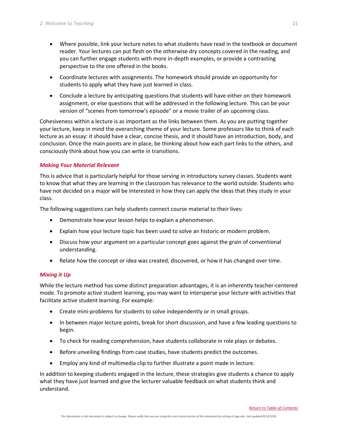- Where possible, link your lecture notes to what students have read in the textbook or document reader. Your lectures can put flesh on the otherwise dry concepts covered in the reading, and you can further engage students with more in-depth examples, or provide a contrasting perspective to the one offered in the books.
- Coordinate lectures with assignments. The homework should provide an opportunity for students to apply what they have just learned in class.
- Conclude a lecture by anticipating questions that students will have either on their homework assignment, or else questions that will be addressed in the following lecture. This can be your version of "scenes from tomorrow's episode" or a movie trailer of an upcoming class.

Cohesiveness within a lecture is as important as the links between them. As you are putting together your lecture, keep in mind the overarching theme of your lecture. Some professors like to think of each lecture as an essay: it should have a clear, concise thesis, and it should have an introduction, body, and conclusion. Once the main points are in place, be thinking about how each part links to the others, and consciously think about how you can write in transitions.

#### *Making Your Material Relevant*

This is advice that is particularly helpful for those serving in introductory survey classes. Students want to know that what they are learning in the classroom has relevance to the world outside. Students who have not decided on a major will be interested in how they can apply the ideas that they study in your class.

The following suggestions can help students connect course material to their lives:

- Demonstrate how your lesson helps to explain a phenomenon.
- Explain how your lecture topic has been used to solve an historic or modern problem.
- Discuss how your argument on a particular concept goes against the grain of conventional understanding.
- Relate how the concept or idea was created, discovered, or how it has changed over time.

#### *Mixing it Up*

While the lecture method has some distinct preparation advantages, it is an inherently teacher-centered mode. To promote active student learning, you may want to intersperse your lecture with activities that facilitate active student learning. For example:

- Create mini-problems for students to solve independently or in small groups.
- In between major lecture points, break for short discussion, and have a few leading questions to begin.
- To check for reading comprehension, have students collaborate in role plays or debates.
- Before unveiling findings from case studies, have students predict the outcomes.
- Employ any kind of multimedia clip to further illustrate a point made in lecture.

In addition to keeping students engaged in the lecture, these strategies give students a chance to apply what they have just learned and give the lecturer valuable feedback on what students think and understand.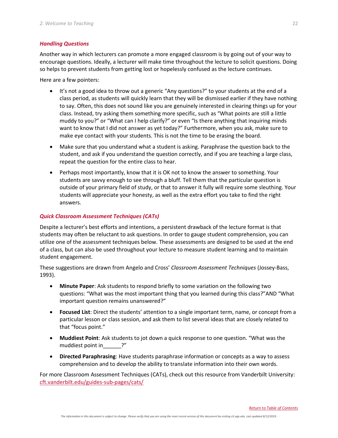#### *Handling Questions*

Another way in which lecturers can promote a more engaged classroom is by going out of your way to encourage questions. Ideally, a lecturer will make time throughout the lecture to solicit questions. Doing so helps to prevent students from getting lost or hopelessly confused as the lecture continues.

Here are a few pointers:

- It's not a good idea to throw out a generic "Any questions?" to your students at the end of a class period, as students will quickly learn that they will be dismissed earlier if they have nothing to say. Often, this does not sound like you are genuinely interested in clearing things up for your class. Instead, try asking them something more specific, such as "What points are still a little muddy to you?" or "What can I help clarify?" or even "Is there anything that inquiring minds want to know that I did not answer as yet today?" Furthermore, when you ask, make sure to make eye contact with your students. This is not the time to be erasing the board.
- Make sure that you understand what a student is asking. Paraphrase the question back to the student, and ask if you understand the question correctly, and if you are teaching a large class, repeat the question for the entire class to hear.
- Perhaps most importantly, know that it is OK not to know the answer to something. Your students are savvy enough to see through a bluff. Tell them that the particular question is outside of your primary field of study, or that to answer it fully will require some sleuthing. Your students will appreciate your honesty, as well as the extra effort you take to find the right answers.

#### *Quick Classroom Assessment Techniques (CATs)*

Despite a lecturer's best efforts and intentions, a persistent drawback of the lecture format is that students may often be reluctant to ask questions. In order to gauge student comprehension, you can utilize one of the assessment techniques below. These assessments are designed to be used at the end of a class, but can also be used throughout your lecture to measure student learning and to maintain student engagement.

These suggestions are drawn from Angelo and Cross' *Classroom Assessment Techniques* (Jossey-Bass, 1993).

- **Minute Paper**: Ask students to respond briefly to some variation on the following two questions: "What was the most important thing that you learned during this class?"AND "What important question remains unanswered?"
- **Focused List**: Direct the students' attention to a single important term, name, or concept from a particular lesson or class session, and ask them to list several ideas that are closely related to that "focus point."
- **Muddiest Point**: Ask students to jot down a quick response to one question. "What was the muddiest point in T<sup>"</sup>
- **Directed Paraphrasing**: Have students paraphrase information or concepts as a way to assess comprehension and to develop the ability to translate information into their own words.

For more Classroom Assessment Techniques (CATs), check out this resource from Vanderbilt University: [cft.vanderbilt.edu/guides-sub-pages/cats/](https://cft.vanderbilt.edu/guides-sub-pages/cats/)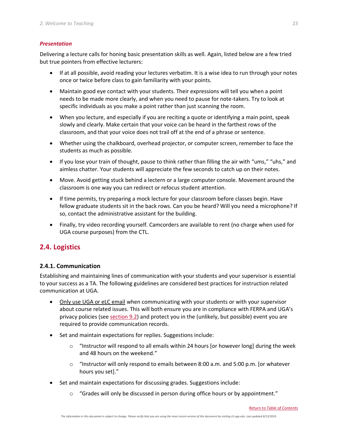#### *Presentation*

Delivering a lecture calls for honing basic presentation skills as well. Again, listed below are a few tried but true pointers from effective lecturers:

- If at all possible, avoid reading your lectures verbatim. It is a wise idea to run through your notes once or twice before class to gain familiarity with your points.
- Maintain good eye contact with your students. Their expressions will tell you when a point needs to be made more clearly, and when you need to pause for note-takers. Try to look at specific individuals as you make a point rather than just scanning the room.
- When you lecture, and especially if you are reciting a quote or identifying a main point, speak slowly and clearly. Make certain that your voice can be heard in the farthest rows of the classroom, and that your voice does not trail off at the end of a phrase or sentence.
- Whether using the chalkboard, overhead projector, or computer screen, remember to face the students as much as possible.
- If you lose your train of thought, pause to think rather than filling the air with "ums," "uhs," and aimless chatter. Your students will appreciate the few seconds to catch up on their notes.
- Move. Avoid getting stuck behind a lectern or a large computer console. Movement around the classroom is one way you can redirect or refocus student attention.
- If time permits, try preparing a mock lecture for your classroom before classes begin. Have fellow graduate students sit in the back rows. Can you be heard? Will you need a microphone? If so, contact the administrative assistant for the building.
- Finally, try video recording yourself. Camcorders are available to rent (no charge when used for UGA course purposes) from the CTL.

## <span id="page-27-0"></span>**2.4. Logistics**

## <span id="page-27-1"></span>**2.4.1. Communication**

Establishing and maintaining lines of communication with your students and your supervisor is essential to your success as a TA. The following guidelines are considered best practices for instruction related communication at UGA.

- Only use UGA or eLC email when communicating with your students or with your supervisor about course related issues. This will both ensure you are in compliance with FERPA and UGA's privacy policies (se[e section 9.2\)](#page-44-1) and protect you in the (unlikely, but possible) event you are required to provide communication records.
- Set and maintain expectations for replies. Suggestions include:
	- $\circ$  "Instructor will respond to all emails within 24 hours [or however long] during the week and 48 hours on the weekend."
	- $\circ$  "Instructor will only respond to emails between 8:00 a.m. and 5:00 p.m. [or whatever hours you set]."
- Set and maintain expectations for discussing grades. Suggestions include:
	- $\circ$  "Grades will only be discussed in person during office hours or by appointment."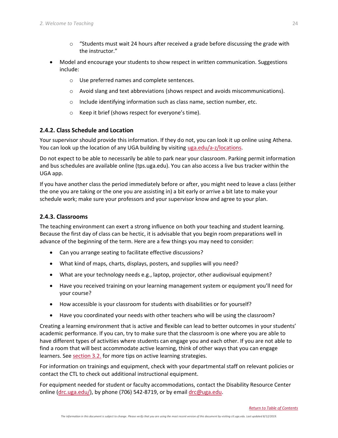- $\circ$  "Students must wait 24 hours after received a grade before discussing the grade with the instructor."
- Model and encourage your students to show respect in written communication. Suggestions include:
	- o Use preferred names and complete sentences.
	- $\circ$  Avoid slang and text abbreviations (shows respect and avoids miscommunications).
	- $\circ$  Include identifying information such as class name, section number, etc.
	- o Keep it brief (shows respect for everyone's time).

### <span id="page-28-0"></span>**2.4.2. Class Schedule and Location**

Your supervisor should provide this information. If they do not, you can look it up online using Athena. You can look up the location of any UGA building by visiting [uga.edu/a-z/locations.](http://www.uga.edu/a-z/locations)

Do not expect to be able to necessarily be able to park near your classroom. Parking permit information and bus schedules are available online (tps.uga.edu). You can also access a live bus tracker within the UGA app.

If you have another class the period immediately before or after, you might need to leave a class (either the one you are taking or the one you are assisting in) a bit early or arrive a bit late to make your schedule work; make sure your professors and your supervisor know and agree to your plan.

### <span id="page-28-1"></span>**2.4.3. Classrooms**

The teaching environment can exert a strong influence on both your teaching and student learning. Because the first day of class can be hectic, it is advisable that you begin room preparations well in advance of the beginning of the term. Here are a few things you may need to consider:

- Can you arrange seating to facilitate effective discussions?
- What kind of maps, charts, displays, posters, and supplies will you need?
- What are your technology needs e.g., laptop, projector, other audiovisual equipment?
- Have you received training on your learning management system or equipment you'll need for your course?
- How accessible is your classroom for students with disabilities or for yourself?
- Have you coordinated your needs with other teachers who will be using the classroom?

Creating a learning environment that is active and flexible can lead to better outcomes in your students' academic performance. If you can, try to make sure that the classroom is one where you are able to have different types of activities where students can engage you and each other. If you are not able to find a room that will best accommodate active learning, think of other ways that you can engage learners. See [section 3.2.](#page-30-2) for more tips on active learning strategies.

For information on trainings and equipment, check with your departmental staff on relevant policies or contact the CTL to check out additional instructional equipment.

For equipment needed for student or faculty accommodations, contact the Disability Resource Center online [\(drc.uga.edu/\)](mailto:drc.uga.edu/), by phone (706) 542-8719, or by email [drc@uga.edu.](mailto:drc@uga.edu)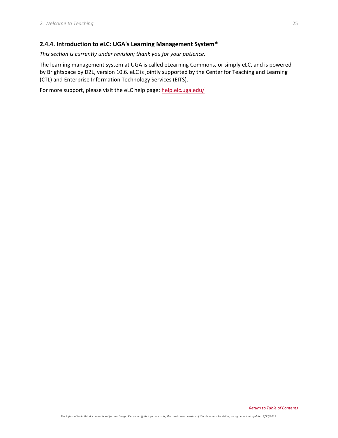## <span id="page-29-0"></span>**2.4.4. Introduction to eLC: UGA's Learning Management System\***

*This section is currently under revision; thank you for your patience.*

The learning management system at UGA is called eLearning Commons, or simply eLC, and is powered by Brightspace by D2L, version 10.6. eLC is jointly supported by the Center for Teaching and Learning (CTL) and Enterprise Information Technology Services (EITS).

For more support, please visit the eLC help page: [help.elc.uga.edu/](https://help.elc.uga.edu/)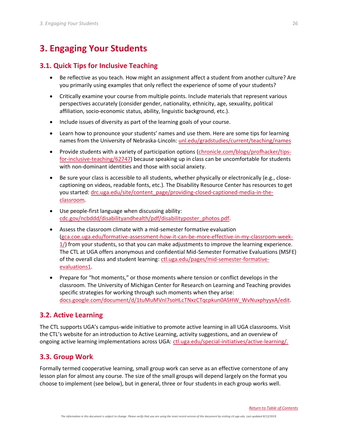## <span id="page-30-0"></span>**3. Engaging Your Students**

## <span id="page-30-1"></span>**3.1. Quick Tips for Inclusive Teaching**

- Be reflective as you teach. How might an assignment affect a student from another culture? Are you primarily using examples that only reflect the experience of some of your students?
- Critically examine your course from multiple points. Include materials that represent various perspectives accurately (consider gender, nationality, ethnicity, age, sexuality, political affiliation, socio-economic status, ability, linguistic background, etc.).
- Include issues of diversity as part of the learning goals of your course.
- Learn how to pronounce your students' names and use them. Here are some tips for learning names from the University of Nebraska-Lincoln[: unl.edu/gradstudies/current/teaching/names](https://www.unl.edu/gradstudies/current/teaching/names)
- Provide students with a variety of participation options [\(chronicle.com/blogs/profhacker/tips](http://www.chronicle.com/blogs/profhacker/tips-for-inclusive-teaching/62747)[for-inclusive-teaching/62747\)](http://www.chronicle.com/blogs/profhacker/tips-for-inclusive-teaching/62747) because speaking up in class can be uncomfortable for students with non-dominant identities and those with social anxiety.
- Be sure your class is accessible to all students, whether physically or electronically (e.g., closecaptioning on videos, readable fonts, etc.). The Disability Resource Center has resources to get you started: [drc.uga.edu/site/content\\_page/providing-closed-captioned-media-in-the](https://drc.uga.edu/site/content_page/providing-closed-captioned-media-in-the-classroom)[classroom.](https://drc.uga.edu/site/content_page/providing-closed-captioned-media-in-the-classroom)
- Use people-first language when discussing ability: [cdc.gov/ncbddd/disabilityandhealth/pdf/disabilityposter\\_photos.pdf.](https://www.cdc.gov/ncbddd/disabilityandhealth/pdf/disabilityposter_photos.pdf)
- Assess the classroom climate with a mid-semester formative evaluation [\(gca.coe.uga.edu/formative-assessment-how-it-can-be-more-effective-in-my-classroom-week-](http://gca.coe.uga.edu/formative-assessment-how-it-can-be-more-effective-in-my-classroom-week-1/)[1/\)](http://gca.coe.uga.edu/formative-assessment-how-it-can-be-more-effective-in-my-classroom-week-1/) from your students, so that you can make adjustments to improve the learning experience. The CTL at UGA offers anonymous and confidential Mid-Semester Formative Evaluations (MSFE) of the overall class and student learning[: ctl.uga.edu/pages/mid-semester-formative](http://www.ctl.uga.edu/pages/mid-semester-formative-evaluations1)[evaluations1.](http://www.ctl.uga.edu/pages/mid-semester-formative-evaluations1)
- Prepare for "hot moments," or those moments where tension or conflict develops in the classroom. The University of Michigan Center for Research on Learning and Teaching provides specific strategies for working through such moments when they arise: [docs.google.com/document/d/1tuMuMVnI7soHLcTNxzCTqcpkun0ASHW\\_WvNuxphyyxA/edit.](https://docs.google.com/document/d/1tuMuMVnI7soHLcTNxzCTqcpkun0ASHW_WvNuxphyyxA/edit)

## <span id="page-30-2"></span>**3.2. Active Learning**

The CTL supports UGA's campus-wide initiative to promote active learning in all UGA classrooms. Visit the CTL's website for an introduction to Active Learning, activity suggestions, and an overview of ongoing active learning implementations across UGA: [ctl.uga.edu/special-initiatives/active-learning/.](https://ctl.uga.edu/special-initiatives/active-learning/)

## <span id="page-30-3"></span>**3.3. Group Work**

Formally termed cooperative learning, small group work can serve as an effective cornerstone of any lesson plan for almost any course. The size of the small groups will depend largely on the format you choose to implement (see below), but in general, three or four students in each group works well.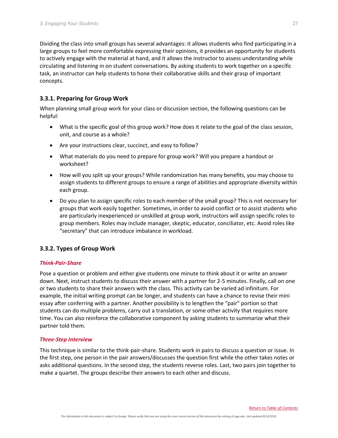Dividing the class into small groups has several advantages: it allows students who find participating in a large groups to feel more comfortable expressing their opinions, it provides an opportunity for students to actively engage with the material at hand, and it allows the instructor to assess understanding while circulating and listening in on student conversations. By asking students to work together on a specific task, an instructor can help students to hone their collaborative skills and their grasp of important concepts.

### <span id="page-31-0"></span>**3.3.1. Preparing for Group Work**

When planning small group work for your class or discussion section, the following questions can be helpful:

- What is the specific goal of this group work? How does it relate to the goal of the class session, unit, and course as a whole?
- Are your instructions clear, succinct, and easy to follow?
- What materials do you need to prepare for group work? Will you prepare a handout or worksheet?
- How will you split up your groups? While randomization has many benefits, you may choose to assign students to different groups to ensure a range of abilities and appropriate diversity within each group.
- Do you plan to assign specific roles to each member of the small group? This is not necessary for groups that work easily together. Sometimes, in order to avoid conflict or to assist students who are particularly inexperienced or unskilled at group work, instructors will assign specific roles to group members. Roles may include manager, skeptic, educator, conciliator, etc. Avoid roles like "secretary" that can introduce imbalance in workload.

#### <span id="page-31-1"></span>**3.3.2. Types of Group Work**

#### *Think-Pair-Share*

Pose a question or problem and either give students one minute to think about it or write an answer down. Next, instruct students to discuss their answer with a partner for 2-5 minutes. Finally, call on one or two students to share their answers with the class. This activity can be varied ad infinitum. For example, the initial writing prompt can be longer, and students can have a chance to revise their mini essay after conferring with a partner. Another possibility is to lengthen the "pair" portion so that students can do multiple problems, carry out a translation, or some other activity that requires more time. You can also reinforce the collaborative component by asking students to summarize what their partner told them.

#### *Three-Step Interview*

This technique is similar to the think-pair-share. Students work in pairs to discuss a question or issue. In the first step, one person in the pair answers/discusses the question first while the other takes notes or asks additional questions. In the second step, the students reverse roles. Last, two pairs join together to make a quartet. The groups describe their answers to each other and discuss.

*The information in this document is subject to change. Please verify that you are using the most recent version of this document by visiting ctl.uga.edu. Last updated 8/12/2019.*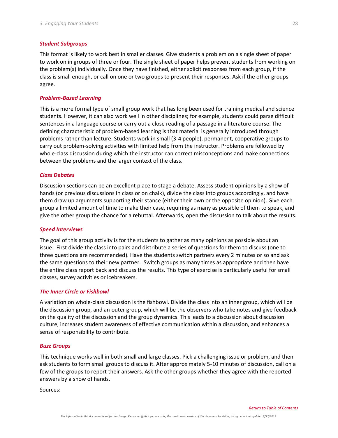#### *Student Subgroups*

This format is likely to work best in smaller classes. Give students a problem on a single sheet of paper to work on in groups of three or four. The single sheet of paper helps prevent students from working on the problem(s) individually. Once they have finished, either solicit responses from each group, if the class is small enough, or call on one or two groups to present their responses. Ask if the other groups agree.

#### *Problem-Based Learning*

This is a more formal type of small group work that has long been used for training medical and science students. However, it can also work well in other disciplines; for example, students could parse difficult sentences in a language course or carry out a close reading of a passage in a literature course. The defining characteristic of problem-based learning is that material is generally introduced through problems rather than lecture. Students work in small (3-4 people), permanent, cooperative groups to carry out problem-solving activities with limited help from the instructor. Problems are followed by whole-class discussion during which the instructor can correct misconceptions and make connections between the problems and the larger context of the class.

#### *Class Debates*

Discussion sections can be an excellent place to stage a debate. Assess student opinions by a show of hands (or previous discussions in class or on chalk), divide the class into groups accordingly, and have them draw up arguments supporting their stance (either their own or the opposite opinion). Give each group a limited amount of time to make their case, requiring as many as possible of them to speak, and give the other group the chance for a rebuttal. Afterwards, open the discussion to talk about the results.

#### *Speed Interviews*

The goal of this group activity is for the students to gather as many opinions as possible about an issue. First divide the class into pairs and distribute a series of questions for them to discuss (one to three questions are recommended). Have the students switch partners every 2 minutes or so and ask the same questions to their new partner. Switch groups as many times as appropriate and then have the entire class report back and discuss the results. This type of exercise is particularly useful for small classes, survey activities or icebreakers.

#### *The Inner Circle or Fishbowl*

A variation on whole-class discussion is the fishbowl. Divide the class into an inner group, which will be the discussion group, and an outer group, which will be the observers who take notes and give feedback on the quality of the discussion and the group dynamics. This leads to a discussion about discussion culture, increases student awareness of effective communication within a discussion, and enhances a sense of responsibility to contribute.

#### *Buzz Groups*

This technique works well in both small and large classes. Pick a challenging issue or problem, and then ask students to form small groups to discuss it. After approximately 5-10 minutes of discussion, call on a few of the groups to report their answers. Ask the other groups whether they agree with the reported answers by a show of hands.

Sources: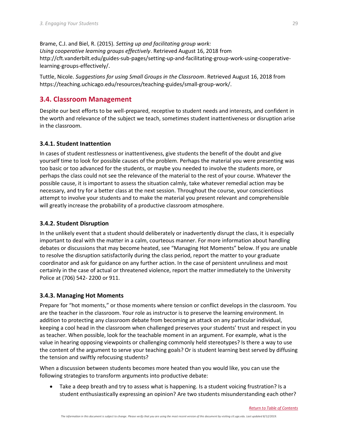Brame, C.J. and Biel, R. (2015). *Setting up and facilitating group work: Using cooperative learning groups effectively*. Retrieved August 16, 2018 from [http://cft.vanderbilt.edu/guides-sub-pages/setting-up-and-facilitating-group-work-using-cooperative](http://cft.vanderbilt.edu/guides-sub-pages/setting-up-and-facilitating-group-work-using-cooperative-learning-groups-effectively/)[learning-groups-effectively/.](http://cft.vanderbilt.edu/guides-sub-pages/setting-up-and-facilitating-group-work-using-cooperative-learning-groups-effectively/)

Tuttle, Nicole. *Suggestions for using Small Groups in the Classroom*. Retrieved August 16, 2018 from [https://teaching.uchicago.edu/resources/teaching-guides/small-group-work/.](https://teaching.uchicago.edu/resources/teaching-guides/small-group-work/)

## <span id="page-33-0"></span>**3.4. Classroom Management**

Despite our best efforts to be well-prepared, receptive to student needs and interests, and confident in the worth and relevance of the subject we teach, sometimes student inattentiveness or disruption arise in the classroom.

### <span id="page-33-1"></span>**3.4.1. Student Inattention**

In cases of student restlessness or inattentiveness, give students the benefit of the doubt and give yourself time to look for possible causes of the problem. Perhaps the material you were presenting was too basic or too advanced for the students, or maybe you needed to involve the students more, or perhaps the class could not see the relevance of the material to the rest of your course. Whatever the possible cause, it is important to assess the situation calmly, take whatever remedial action may be necessary, and try for a better class at the next session. Throughout the course, your conscientious attempt to involve your students and to make the material you present relevant and comprehensible will greatly increase the probability of a productive classroom atmosphere.

## <span id="page-33-2"></span>**3.4.2. Student Disruption**

In the unlikely event that a student should deliberately or inadvertently disrupt the class, it is especially important to deal with the matter in a calm, courteous manner. For more information about handling debates or discussions that may become heated, see "Managing Hot Moments" below. If you are unable to resolve the disruption satisfactorily during the class period, report the matter to your graduate coordinator and ask for guidance on any further action. In the case of persistent unruliness and most certainly in the case of actual or threatened violence, report the matter immediately to the University Police at (706) 542- 2200 or 911.

#### <span id="page-33-3"></span>**3.4.3. Managing Hot Moments**

Prepare for "hot moments," or those moments where tension or conflict develops in the classroom. You are the teacher in the classroom. Your role as instructor is to preserve the learning environment. In addition to protecting any classroom debate from becoming an attack on any particular individual, keeping a cool head in the classroom when challenged preserves your students' trust and respect in you as teacher. When possible, look for the teachable moment in an argument. For example, what is the value in hearing opposing viewpoints or challenging commonly held stereotypes? Is there a way to use the content of the argument to serve your teaching goals? Or is student learning best served by diffusing the tension and swiftly refocusing students?

When a discussion between students becomes more heated than you would like, you can use the following strategies to transform arguments into productive debate:

Take a deep breath and try to assess what is happening. Is a student voicing frustration? Is a student enthusiastically expressing an opinion? Are two students misunderstanding each other?

*[Return to Table of Contents](#page-0-0)*

29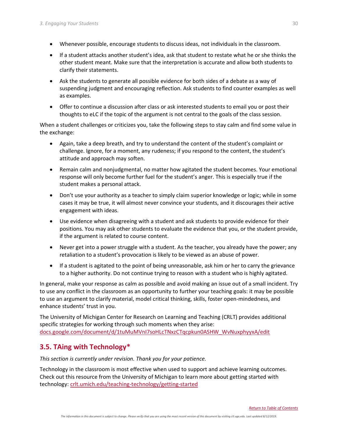- Whenever possible, encourage students to discuss ideas, not individuals in the classroom.
- If a student attacks another student's idea, ask that student to restate what he or she thinks the other student meant. Make sure that the interpretation is accurate and allow both students to clarify their statements.
- Ask the students to generate all possible evidence for both sides of a debate as a way of suspending judgment and encouraging reflection. Ask students to find counter examples as well as examples.
- Offer to continue a discussion after class or ask interested students to email you or post their thoughts to eLC if the topic of the argument is not central to the goals of the class session.

When a student challenges or criticizes you, take the following steps to stay calm and find some value in the exchange:

- Again, take a deep breath, and try to understand the content of the student's complaint or challenge. Ignore, for a moment, any rudeness; if you respond to the content, the student's attitude and approach may soften.
- Remain calm and nonjudgmental, no matter how agitated the student becomes. Your emotional response will only become further fuel for the student's anger. This is especially true if the student makes a personal attack.
- Don't use your authority as a teacher to simply claim superior knowledge or logic; while in some cases it may be true, it will almost never convince your students, and it discourages their active engagement with ideas.
- Use evidence when disagreeing with a student and ask students to provide evidence for their positions. You may ask other students to evaluate the evidence that you, or the student provide, if the argument is related to course content.
- Never get into a power struggle with a student. As the teacher, you already have the power; any retaliation to a student's provocation is likely to be viewed as an abuse of power.
- If a student is agitated to the point of being unreasonable, ask him or her to carry the grievance to a higher authority. Do not continue trying to reason with a student who is highly agitated.

In general, make your response as calm as possible and avoid making an issue out of a small incident. Try to use any conflict in the classroom as an opportunity to further your teaching goals: it may be possible to use an argument to clarify material, model critical thinking, skills, foster open-mindedness, and enhance students' trust in you.

The University of Michigan Center for Research on Learning and Teaching (CRLT) provides additional specific strategies for working through such moments when they arise: [docs.google.com/document/d/1tuMuMVnI7soHLcTNxzCTqcpkun0ASHW\\_WvNuxphyyxA/edit](https://docs.google.com/document/d/1tuMuMVnI7soHLcTNxzCTqcpkun0ASHW_WvNuxphyyxA/edit)

## <span id="page-34-0"></span>**3.5. TAing with Technology\***

*This section is currently under revision. Thank you for your patience.*

Technology in the classroom is most effective when used to support and achieve learning outcomes. Check out this resource from the University of Michigan to learn more about getting started with technology: [crlt.umich.edu/teaching-technology/getting-started](http://www.crlt.umich.edu/teaching-technology/getting-started)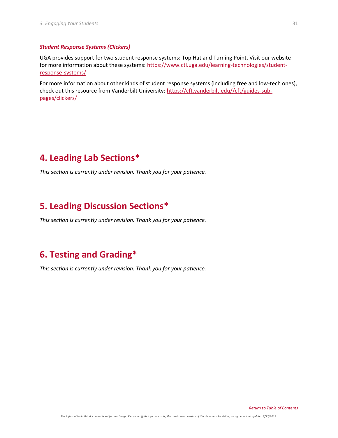#### *Student Response Systems (Clickers)*

UGA provides support for two student response systems: Top Hat and Turning Point. Visit our website for more information about these systems: [https://www.ctl.uga.edu/learning-technologies/student](https://www.ctl.uga.edu/learning-technologies/student-response-systems/)[response-systems/](https://www.ctl.uga.edu/learning-technologies/student-response-systems/)

For more information about other kinds of student response systems (including free and low-tech ones), check out this resource from Vanderbilt University: [https://cft.vanderbilt.edu//cft/guides-sub](https://cft.vanderbilt.edu/cft/guides-sub-pages/clickers/)[pages/clickers/](https://cft.vanderbilt.edu/cft/guides-sub-pages/clickers/)

## <span id="page-35-0"></span>**4. Leading Lab Sections\***

*This section is currently under revision. Thank you for your patience.*

## <span id="page-35-1"></span>**5. Leading Discussion Sections\***

<span id="page-35-3"></span>*This section is currently under revision. Thank you for your patience.*

## <span id="page-35-2"></span>**6. Testing and Grading\***

*This section is currently under revision. Thank you for your patience.*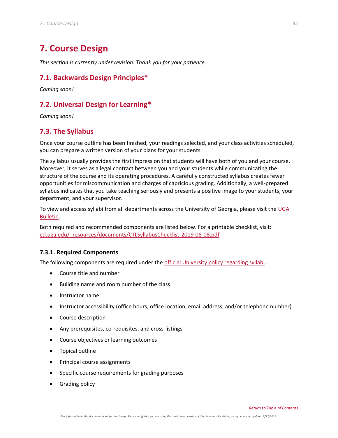## <span id="page-36-0"></span>**7. Course Design**

*This section is currently under revision. Thank you for your patience.*

## <span id="page-36-1"></span>**7.1. Backwards Design Principles\***

*Coming soon!*

## <span id="page-36-2"></span>**7.2. Universal Design for Learning\***

*Coming soon!*

## <span id="page-36-3"></span>**7.3. The Syllabus**

Once your course outline has been finished, your readings selected, and your class activities scheduled, you can prepare a written version of your plans for your students.

The syllabus usually provides the first impression that students will have both of you and your course. Moreover, it serves as a legal contract between you and your students while communicating the structure of the course and its operating procedures. A carefully constructed syllabus creates fewer opportunities for miscommunication and charges of capricious grading. Additionally, a well-prepared syllabus indicates that you take teaching seriously and presents a positive image to your students, your department, and your supervisor.

To view and access syllabi from all departments across the University of Georgia, please visit the UGA [Bulletin.](http://www.bulletin.uga.edu/CoursesHome.aspx)

Both required and recommended components are listed below. For a printable checklist, visit: [ctl.uga.edu/\\_resources/documents/CTLSyllabusChecklist-2019-08-08.pdf](https://ctl.uga.edu/_resources/documents/CTLSyllabusChecklist-2019-08-08.pdf)

## <span id="page-36-4"></span>**7.3.1. Required Components**

The following components are required under the [official University policy regarding syllabi.](https://curriculumsystems.uga.edu/curriculum/courses/syllabus)

- Course title and number
- Building name and room number of the class
- Instructor name
- Instructor accessibility (office hours, office location, email address, and/or telephone number)
- Course description
- Any prerequisites, co-requisites, and cross-listings
- Course objectives or learning outcomes
- Topical outline
- Principal course assignments
- Specific course requirements for grading purposes
- Grading policy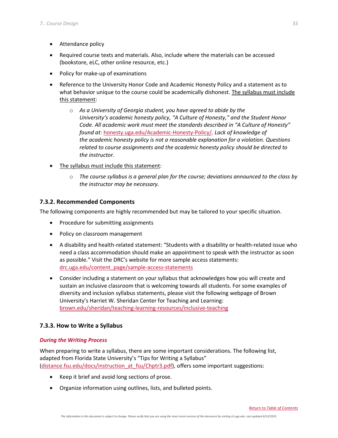- Attendance policy
- Required course texts and materials. Also, include where the materials can be accessed (bookstore, eLC, other online resource, etc.)
- Policy for make-up of examinations
- Reference to the University Honor Code and Academic Honesty Policy and a statement as to what behavior unique to the course could be academically dishonest. The syllabus must include this statement:
	- o *As a University of Georgia student, you have agreed to abide by the University's academic honesty policy, "A Culture of Honesty," and the Student Honor Code. All academic work must meet the standards described in "A Culture of Honesty" found at:* [honesty.uga.edu/Academic-Honesty-Policy/](https://honesty.uga.edu/Academic-Honesty-Policy/)*. Lack of knowledge of the academic honesty policy is not a reasonable explanation for a violation. Questions related to course assignments and the academic honesty policy should be directed to the instructor.*
- The syllabus must include this statement:
	- o *The course syllabus is a general plan for the course; deviations announced to the class by the instructor may be necessary.*

## <span id="page-37-0"></span>**7.3.2. Recommended Components**

The following components are highly recommended but may be tailored to your specific situation.

- Procedure for submitting assignments
- Policy on classroom management
- A disability and health-related statement: "Students with a disability or health-related issue who need a class accommodation should make an appointment to speak with the instructor as soon as possible." Visit the DRC's website for more sample access statements: [drc.uga.edu/content\\_page/sample-access-statements](https://drc.uga.edu/content_page/sample-access-statements)
- Consider including a statement on your syllabus that acknowledges how you will create and sustain an inclusive classroom that is welcoming towards all students. For some examples of diversity and inclusion syllabus statements, please visit the following webpage of Brown University's Harriet W. Sheridan Center for Teaching and Learning: [brown.edu/sheridan/teaching-learning-resources/inclusive-teaching](https://www.brown.edu/sheridan/teaching-learning-resources/inclusive-teaching)

## <span id="page-37-1"></span>**7.3.3. How to Write a Syllabus**

#### *During the Writing Process*

When preparing to write a syllabus, there are some important considerations. The following list, adapted from Florida State University's "Tips for Writing a Syllabus" [\(distance.fsu.edu/docs/instruction\\_at\\_fsu/Chptr3.pdf\)](https://distance.fsu.edu/docs/instruction_at_fsu/Chptr3.pdf), offers some important suggestions:

- Keep it brief and avoid long sections of prose.
- Organize information using outlines, lists, and bulleted points.

33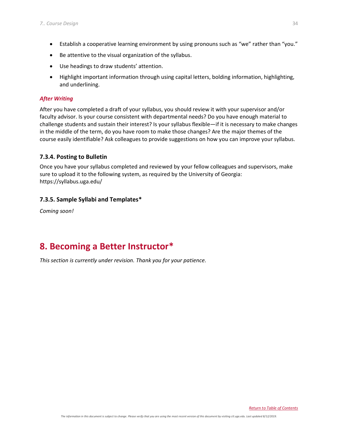- Establish a cooperative learning environment by using pronouns such as "we" rather than "you."
- Be attentive to the visual organization of the syllabus.
- Use headings to draw students' attention.
- Highlight important information through using capital letters, bolding information, highlighting, and underlining.

## *After Writing*

After you have completed a draft of your syllabus, you should review it with your supervisor and/or faculty advisor. Is your course consistent with departmental needs? Do you have enough material to challenge students and sustain their interest? Is your syllabus flexible—if it is necessary to make changes in the middle of the term, do you have room to make those changes? Are the major themes of the course easily identifiable? Ask colleagues to provide suggestions on how you can improve your syllabus.

## <span id="page-38-0"></span>**7.3.4. Posting to Bulletin**

Once you have your syllabus completed and reviewed by your fellow colleagues and supervisors, make sure to upload it to the following system, as required by the University of Georgia: https://syllabus.uga.edu/

## <span id="page-38-1"></span>**7.3.5. Sample Syllabi and Templates\***

*Coming soon!*

## <span id="page-38-2"></span>**8. Becoming a Better Instructor\***

*This section is currently under revision. Thank you for your patience.*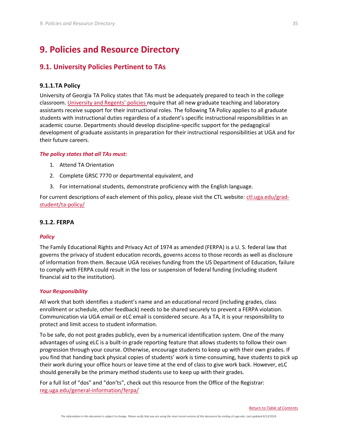## <span id="page-39-0"></span>**9. Policies and Resource Directory**

## <span id="page-39-1"></span>**9.1. University Policies Pertinent to TAs**

#### <span id="page-39-2"></span>**9.1.1.TA Policy**

University of Georgia TA Policy states that TAs must be adequately prepared to teach in the college classroom. [University and Regents' policies](https://provost.uga.edu/policies/academic-affairs-policy-manual/4-07-miscellaneous-course-policies/#p-4-07-13) require that all new graduate teaching and laboratory assistants receive support for their instructional roles. The following TA Policy applies to all graduate students with instructional duties regardless of a student's specific instructional responsibilities in an academic course. Departments should develop discipline-specific support for the pedagogical development of graduate assistants in preparation for their instructional responsibilities at UGA and for their future careers.

#### *The policy states that all TAs must:*

- 1. Attend TA Orientation
- 2. Complete GRSC 7770 or departmental equivalent, and
- 3. For international students, demonstrate proficiency with the English language.

For current descriptions of each element of this policy, please visit the CTL website: [ctl.uga.edu/grad](https://www.ctl.uga.edu/grad-student/ta-policy/)[student/ta-policy/](https://www.ctl.uga.edu/grad-student/ta-policy/)

#### <span id="page-39-3"></span>**9.1.2. FERPA**

#### *Policy*

The Family Educational Rights and Privacy Act of 1974 as amended (FERPA) is a U. S. federal law that governs the privacy of student education records, governs access to those records as well as disclosure of information from them. Because UGA receives funding from the US Department of Education, failure to comply with FERPA could result in the loss or suspension of federal funding (including student financial aid to the institution).

#### *Your Responsibility*

All work that both identifies a student's name and an educational record (including grades, class enrollment or schedule, other feedback) needs to be shared securely to prevent a FERPA violation. Communication via UGA email or eLC email is considered secure. As a TA, it is your responsibility to protect and limit access to student information.

To be safe, do not post grades publicly, even by a numerical identification system. One of the many advantages of using eLC is a built-in grade reporting feature that allows students to follow their own progression through your course. Otherwise, encourage students to keep up with their own grades. If you find that handing back physical copies of students' work is time-consuming, have students to pick up their work during your office hours or leave time at the end of class to give work back. However, eLC should generally be the primary method students use to keep up with their grades.

For a full list of "dos" and "don'ts", check out this resource from the Office of the Registrar: [reg.uga.edu/general-information/ferpa/](https://reg.uga.edu/general-information/ferpa/)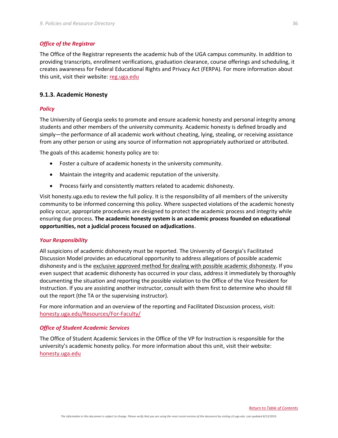#### *Office of the Registrar*

The Office of the Registrar represents the academic hub of the UGA campus community. In addition to providing transcripts, enrollment verifications, graduation clearance, course offerings and scheduling, it creates awareness for Federal Educational Rights and Privacy Act (FERPA). For more information about this unit, visit their website[: reg.uga.edu](http://reg.uga.edu/)

#### <span id="page-40-0"></span>**9.1.3. Academic Honesty**

#### *Policy*

The University of Georgia seeks to promote and ensure academic honesty and personal integrity among students and other members of the university community. Academic honesty is defined broadly and simply—the performance of all academic work without cheating, lying, stealing, or receiving assistance from any other person or using any source of information not appropriately authorized or attributed.

The goals of this academic honesty policy are to:

- Foster a culture of academic honesty in the university community.
- Maintain the integrity and academic reputation of the university.
- Process fairly and consistently matters related to academic dishonesty.

Visit honesty.uga.edu to review the full policy. It is the responsibility of all members of the university community to be informed concerning this policy. Where suspected violations of the academic honesty policy occur, appropriate procedures are designed to protect the academic process and integrity while ensuring due process. **The academic honesty system is an academic process founded on educational opportunities, not a judicial process focused on adjudications**.

#### *Your Responsibility*

All suspicions of academic dishonesty must be reported. The University of Georgia's Facilitated Discussion Model provides an educational opportunity to address allegations of possible academic dishonesty and is the exclusive approved method for dealing with possible academic dishonesty. If you even suspect that academic dishonesty has occurred in your class, address it immediately by thoroughly documenting the situation and reporting the possible violation to the Office of the Vice President for Instruction. If you are assisting another instructor, consult with them first to determine who should fill out the report (the TA or the supervising instructor).

For more information and an overview of the reporting and Facilitated Discussion process, visit: [honesty.uga.edu/Resources/For-Faculty/](https://honesty.uga.edu/Resources/For-Faculty/)

#### *Office of Student Academic Services*

The Office of Student Academic Services in the Office of the VP for Instruction is responsible for the university's academic honesty policy. For more information about this unit, visit their website: [honesty.uga.edu](http://honesty.uga.edu/)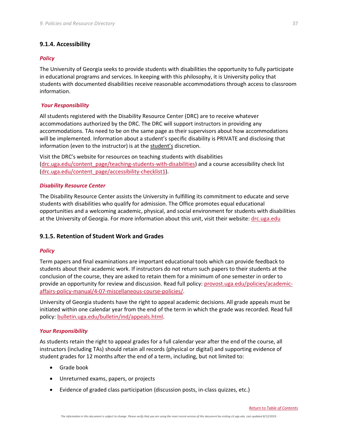#### <span id="page-41-0"></span>**9.1.4. Accessibility**

#### *Policy*

The University of Georgia seeks to provide students with disabilities the opportunity to fully participate in educational programs and services. In keeping with this philosophy, it is University policy that students with documented disabilities receive reasonable accommodations through access to classroom information.

#### *Your Responsibility*

All students registered with the Disability Resource Center (DRC) are to receive whatever accommodations authorized by the DRC. The DRC will support instructors in providing any accommodations. TAs need to be on the same page as their supervisors about how accommodations will be implemented. Information about a student's specific disability is PRIVATE and disclosing that information (even to the instructor) is at the student's discretion.

Visit the DRC's website for resources on teaching students with disabilities [\(drc.uga.edu/content\\_page/teaching-students-with-disabilities\)](https://drc.uga.edu/content_page/teaching-students-with-disabilities) and a course accessibility check list [\(drc.uga.edu/content\\_page/accessibility-checklist1\)](https://drc.uga.edu/content_page/accessibility-checklist1).

#### *Disability Resource Center*

The Disability Resource Center assists the University in fulfilling its commitment to educate and serve students with disabilities who qualify for admission. The Office promotes equal educational opportunities and a welcoming academic, physical, and social environment for students with disabilities at the University of Georgia. For more information about this unit, visit their website: [drc.uga.edu](http://drc.uga.edu/)

#### <span id="page-41-1"></span>**9.1.5. Retention of Student Work and Grades**

#### *Policy*

Term papers and final examinations are important educational tools which can provide feedback to students about their academic work. If instructors do not return such papers to their students at the conclusion of the course, they are asked to retain them for a minimum of one semester in order to provide an opportunity for review and discussion. Read full policy: [provost.uga.edu/policies/academic](https://provost.uga.edu/policies/academic-affairs-policy-manual/4-07-miscellaneous-course-policies/)[affairs-policy-manual/4-07-miscellaneous-course-policies/.](https://provost.uga.edu/policies/academic-affairs-policy-manual/4-07-miscellaneous-course-policies/)

University of Georgia students have the right to appeal academic decisions. All grade appeals must be initiated within one calendar year from the end of the term in which the grade was recorded. Read full policy[: bulletin.uga.edu/bulletin/ind/appeals.html.](http://bulletin.uga.edu/bulletin/ind/appeals.html)

#### *Your Responsibility*

As students retain the right to appeal grades for a full calendar year after the end of the course, all instructors (including TAs) should retain all records (physical or digital) and supporting evidence of student grades for 12 months after the end of a term, including, but not limited to:

- Grade book
- Unreturned exams, papers, or projects
- Evidence of graded class participation (discussion posts, in-class quizzes, etc.)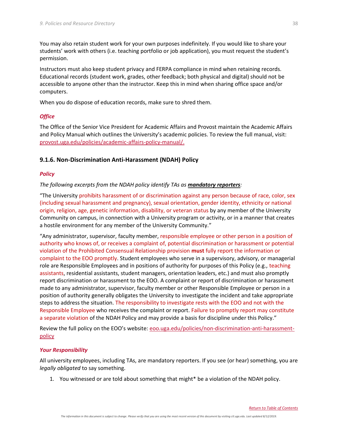You may also retain student work for your own purposes indefinitely. If you would like to share your students' work with others (i.e. teaching portfolio or job application), you must request the student's permission.

Instructors must also keep student privacy and FERPA compliance in mind when retaining records. Educational records (student work, grades, other feedback; both physical and digital) should not be accessible to anyone other than the instructor. Keep this in mind when sharing office space and/or computers.

When you do dispose of education records, make sure to shred them.

#### *Office*

The Office of the Senior Vice President for Academic Affairs and Provost maintain the Academic Affairs and Policy Manual which outlines the University's academic policies. To review the full manual, visit: [provost.uga.edu/policies/academic-affairs-policy-manual/.](https://provost.uga.edu/policies/academic-affairs-policy-manual/)

#### <span id="page-42-0"></span>**9.1.6. Non-Discrimination Anti-Harassment (NDAH) Policy**

#### *Policy*

*The following excerpts from the NDAH policy identify TAs as mandatory reporters:*

"The University prohibits harassment of or discrimination against any person because of race, color, sex (including sexual harassment and pregnancy), sexual orientation, gender identity, ethnicity or national origin, religion, age, genetic information, disability, or veteran status by any member of the University Community on campus, in connection with a University program or activity, or in a manner that creates a hostile environment for any member of the University Community."

"Any administrator, supervisor, faculty member, responsible employee or other person in a position of authority who knows of, or receives a complaint of, potential discrimination or harassment or potential violation of the Prohibited Consensual Relationship provision **must** fully report the information or complaint to the EOO promptly. Student employees who serve in a supervisory, advisory, or managerial role are Responsible Employees and in positions of authority for purposes of this Policy (e.g., teaching assistants, residential assistants, student managers, orientation leaders, etc.) and must also promptly report discrimination or harassment to the EOO. A complaint or report of discrimination or harassment made to any administrator, supervisor, faculty member or other Responsible Employee or person in a position of authority generally obligates the University to investigate the incident and take appropriate steps to address the situation. The responsibility to investigate rests with the EOO and not with the Responsible Employee who receives the complaint or report. Failure to promptly report may constitute a separate violation of the NDAH Policy and may provide a basis for discipline under this Policy."

Review the full policy on the EOO's website: [eoo.uga.edu/policies/non-discrimination-anti-harassment](https://eoo.uga.edu/policies/non-discrimination-anti-harassment-policy)[policy](https://eoo.uga.edu/policies/non-discrimination-anti-harassment-policy)

#### *Your Responsibility*

All university employees, including TAs, are mandatory reporters. If you see (or hear) something, you are *legally obligated* to say something.

1. You witnessed or are told about something that might\* be a violation of the NDAH policy.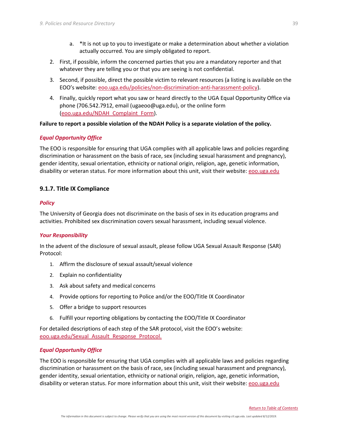- a. \*It is not up to you to investigate or make a determination about whether a violation actually occurred. You are simply obligated to report.
- 2. First, if possible, inform the concerned parties that you are a mandatory reporter and that whatever they are telling you or that you are seeing is not confidential.
- 3. Second, if possible, direct the possible victim to relevant resources (a listing is available on the EOO's website: [eoo.uga.edu/policies/non-discrimination-anti-harassment-policy\)](https://eoo.uga.edu/policies/non-discrimination-anti-harassment-policy).
- 4. Finally, quickly report what you saw or heard directly to the UGA Equal Opportunity Office via phone (706.542.7912, email [\(ugaeoo@uga.edu\)](mailto:ugaeoo@uga.edu), or the online form [\(eoo.uga.edu/NDAH\\_Complaint\\_Form\)](https://eoo.uga.edu/NDAH_Complaint_Form).

#### **Failure to report a possible violation of the NDAH Policy is a separate violation of the policy.**

#### *Equal Opportunity Office*

The EOO is responsible for ensuring that UGA complies with all applicable laws and policies regarding discrimination or harassment on the basis of race, sex (including sexual harassment and pregnancy), gender identity, sexual orientation, ethnicity or national origin, religion, age, genetic information, disability or veteran status. For more information about this unit, visit their website: [eoo.uga.edu](http://eoo.uga.edu/)

#### <span id="page-43-0"></span>**9.1.7. Title IX Compliance**

#### *Policy*

The University of Georgia does not discriminate on the basis of sex in its education programs and activities. Prohibited sex discrimination covers sexual harassment, including sexual violence.

#### *Your Responsibility*

In the advent of the disclosure of sexual assault, please follow UGA Sexual Assault Response (SAR) Protocol:

- 1. Affirm the disclosure of sexual assault/sexual violence
- 2. Explain no confidentiality
- 3. Ask about safety and medical concerns
- 4. Provide options for reporting to Police and/or the EOO/Title IX Coordinator
- 5. Offer a bridge to support resources
- 6. Fulfill your reporting obligations by contacting the EOO/Title IX Coordinator

For detailed descriptions of each step of the SAR protocol, visit the EOO's website: [eoo.uga.edu/Sexual\\_Assault\\_Response\\_Protocol.](https://eoo.uga.edu/Sexual_Assault_Response_Protocol)

#### *Equal Opportunity Office*

The EOO is responsible for ensuring that UGA complies with all applicable laws and policies regarding discrimination or harassment on the basis of race, sex (including sexual harassment and pregnancy), gender identity, sexual orientation, ethnicity or national origin, religion, age, genetic information, disability or veteran status. For more information about this unit, visit their website: [eoo.uga.edu](http://eoo.uga.edu/)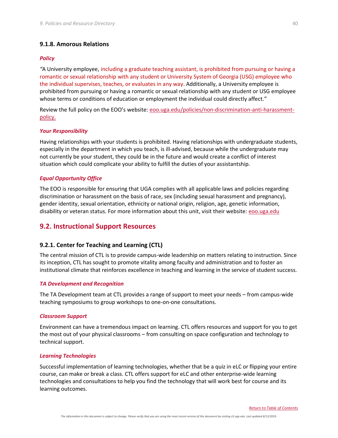#### <span id="page-44-0"></span>**9.1.8. Amorous Relations**

#### *Policy*

*"*A University employee, including a graduate teaching assistant, is prohibited from pursuing or having a romantic or sexual relationship with any student or University System of Georgia (USG) employee who the individual supervises, teaches, or evaluates in any way. Additionally, a University employee is prohibited from pursuing or having a romantic or sexual relationship with any student or USG employee whose terms or conditions of education or employment the individual could directly affect."

Review the full policy on the EOO's website: [eoo.uga.edu/policies/non-discrimination-anti-harassment](https://eoo.uga.edu/policies/non-discrimination-anti-harassment-policy)[policy.](https://eoo.uga.edu/policies/non-discrimination-anti-harassment-policy)

#### *Your Responsibility*

Having relationships with your students is prohibited. Having relationships with undergraduate students, especially in the department in which you teach, is ill-advised, because while the undergraduate may not currently be your student, they could be in the future and would create a conflict of interest situation which could complicate your ability to fulfill the duties of your assistantship.

#### *Equal Opportunity Office*

The EOO is responsible for ensuring that UGA complies with all applicable laws and policies regarding discrimination or harassment on the basis of race, sex (including sexual harassment and pregnancy), gender identity, sexual orientation, ethnicity or national origin, religion, age, genetic information, disability or veteran status. For more information about this unit, visit their website: [eoo.uga.edu](http://eoo.uga.edu/)

### <span id="page-44-1"></span>**9.2. Instructional Support Resources**

#### <span id="page-44-2"></span>**9.2.1. Center for Teaching and Learning (CTL)**

The central mission of CTL is to provide campus-wide leadership on matters relating to instruction. Since its inception, CTL has sought to promote vitality among faculty and administration and to foster an institutional climate that reinforces excellence in teaching and learning in the service of student success.

#### *TA Development and Recognition*

The TA Development team at CTL provides a range of support to meet your needs – from campus-wide teaching symposiums to group workshops to one-on-one consultations.

#### *Classroom Support*

Environment can have a tremendous impact on learning. CTL offers resources and support for you to get the most out of your physical classrooms – from consulting on space configuration and technology to technical support.

#### *Learning Technologies*

Successful implementation of learning technologies, whether that be a quiz in eLC or flipping your entire course, can make or break a class. CTL offers support for eLC and other enterprise-wide learning technologies and consultations to help you find the technology that will work best for course and its learning outcomes.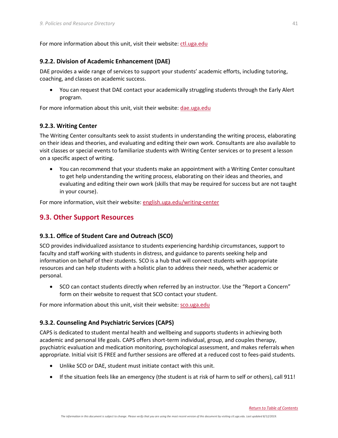For more information about this unit, visit their website[: ctl.uga.edu](http://www.ctl.uga.edu/)

### <span id="page-45-0"></span>**9.2.2. Division of Academic Enhancement (DAE)**

DAE provides a wide range of services to support your students' academic efforts, including tutoring, coaching, and classes on academic success.

• You can request that DAE contact your academically struggling students through the Early Alert program.

For more information about this unit, visit their website[: dae.uga.edu](http://www.dae.uga.edu/)

### <span id="page-45-1"></span>**9.2.3. Writing Center**

The Writing Center consultants seek to assist students in understanding the writing process, elaborating on their ideas and theories, and evaluating and editing their own work. Consultants are also available to visit classes or special events to familiarize students with Writing Center services or to present a lesson on a specific aspect of writing.

• You can recommend that your students make an appointment with a Writing Center consultant to get help understanding the writing process, elaborating on their ideas and theories, and evaluating and editing their own work (skills that may be required for success but are not taught in your course).

For more information, visit their website[: english.uga.edu/writing-center](http://www.english.uga.edu/writing-center)

## <span id="page-45-2"></span>**9.3. Other Support Resources**

## <span id="page-45-3"></span>**9.3.1. Office of Student Care and Outreach (SCO)**

SCO provides individualized assistance to students experiencing hardship circumstances, support to faculty and staff working with students in distress, and guidance to parents seeking help and information on behalf of their students. SCO is a hub that will connect students with appropriate resources and can help students with a holistic plan to address their needs, whether academic or personal.

• SCO can contact students directly when referred by an instructor. Use the "Report a Concern" form on their website to request that SCO contact your student.

For more information about this unit, visit their website[: sco.uga.edu](http://www.sco.uga.edu/)

## <span id="page-45-4"></span>**9.3.2. Counseling And Psychiatric Services (CAPS)**

CAPS is dedicated to student mental health and wellbeing and supports students in achieving both academic and personal life goals. CAPS offers short-term individual, group, and couples therapy, psychiatric evaluation and medication monitoring, psychological assessment, and makes referrals when appropriate. Initial visit IS FREE and further sessions are offered at a reduced cost to fees-paid students.

- Unlike SCO or DAE, student must initiate contact with this unit.
- If the situation feels like an emergency (the student is at risk of harm to self or others), call 911!